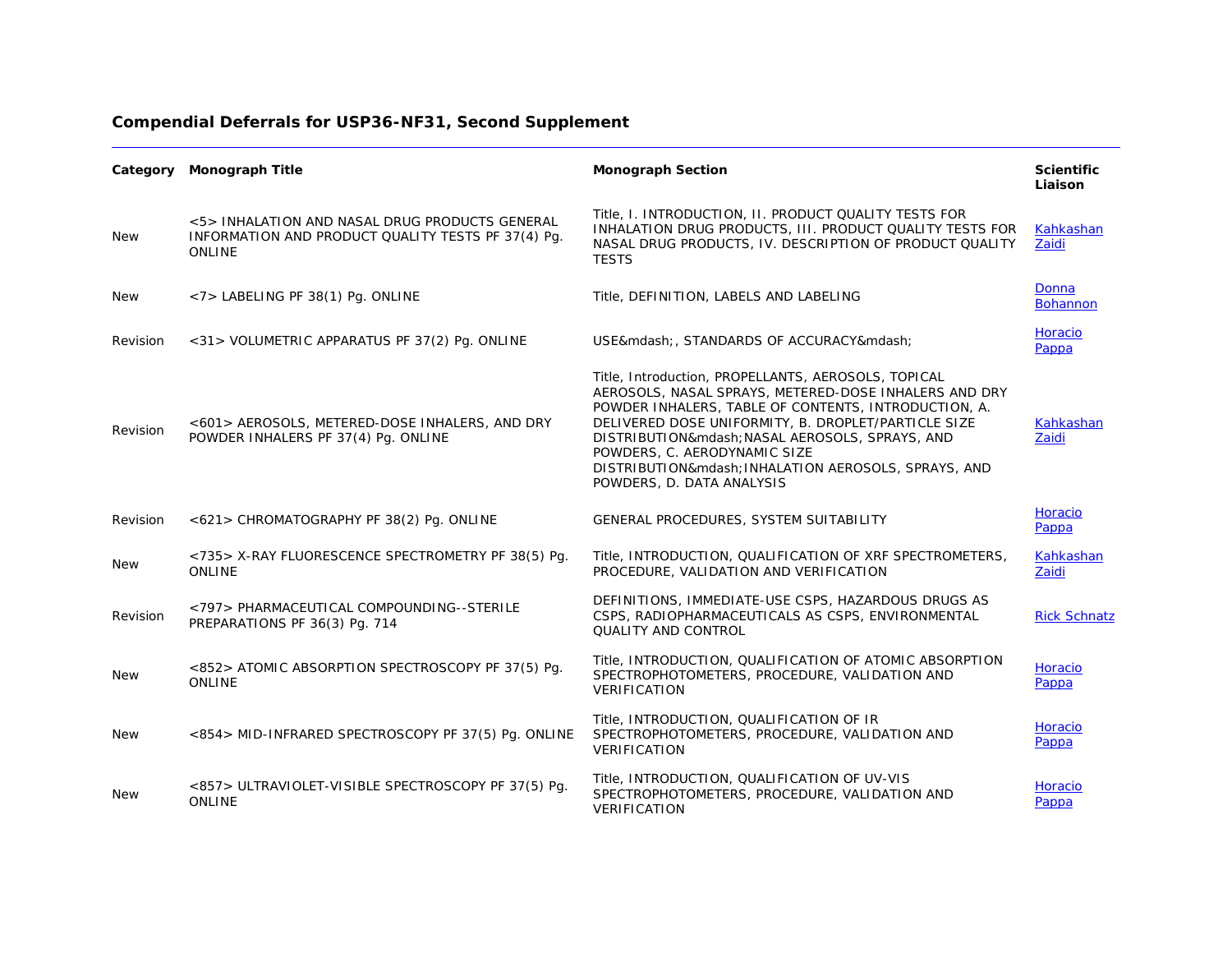| Category   | <b>Monograph Title</b>                                                                                                | <b>Monograph Section</b>                                                                                                                                                                                                                                                                                                                                                                | <b>Scientific</b><br>Liaison |
|------------|-----------------------------------------------------------------------------------------------------------------------|-----------------------------------------------------------------------------------------------------------------------------------------------------------------------------------------------------------------------------------------------------------------------------------------------------------------------------------------------------------------------------------------|------------------------------|
| <b>New</b> | <5> INHALATION AND NASAL DRUG PRODUCTS GENERAL<br>INFORMATION AND PRODUCT QUALITY TESTS PF 37(4) Pq.<br><b>ONLINE</b> | Title, I. INTRODUCTION, II. PRODUCT QUALITY TESTS FOR<br>INHALATION DRUG PRODUCTS, III. PRODUCT QUALITY TESTS FOR<br>NASAL DRUG PRODUCTS, IV. DESCRIPTION OF PRODUCT QUALITY<br><b>TESTS</b>                                                                                                                                                                                            | Kahkashan<br>Zaidi           |
| <b>New</b> | <7> LABELING PF 38(1) Pg. ONLINE                                                                                      | Title, DEFINITION, LABELS AND LABELING                                                                                                                                                                                                                                                                                                                                                  | Donna<br><b>Bohannon</b>     |
| Revision   | <31> VOLUMETRIC APPARATUS PF 37(2) Pg. ONLINE                                                                         | USE—, STANDARDS OF ACCURACY—                                                                                                                                                                                                                                                                                                                                                            | Horacio<br>Pappa             |
| Revision   | <601> AEROSOLS, METERED-DOSE INHALERS, AND DRY<br>POWDER INHALERS PF 37(4) Pq. ONLINE                                 | Title, Introduction, PROPELLANTS, AEROSOLS, TOPICAL<br>AEROSOLS, NASAL SPRAYS, METERED-DOSE INHALERS AND DRY<br>POWDER INHALERS, TABLE OF CONTENTS, INTRODUCTION, A.<br>DELIVERED DOSE UNIFORMITY, B. DROPLET/PARTICLE SIZE<br>DISTRIBUTION— NASAL AEROSOLS, SPRAYS, AND<br>POWDERS, C. AERODYNAMIC SIZE<br>DISTRIBUTION— INHALATION AEROSOLS, SPRAYS, AND<br>POWDERS, D. DATA ANALYSIS | Kahkashan<br>Zaidi           |
| Revision   | <621> CHROMATOGRAPHY PF 38(2) Pg. ONLINE                                                                              | GENERAL PROCEDURES, SYSTEM SUITABILITY                                                                                                                                                                                                                                                                                                                                                  | Horacio<br>Pappa             |
| <b>New</b> | <735> X-RAY FLUORESCENCE SPECTROMETRY PF 38(5) Pg.<br>ONLINE                                                          | Title, INTRODUCTION, QUALIFICATION OF XRF SPECTROMETERS,<br>PROCEDURE, VALIDATION AND VERIFICATION                                                                                                                                                                                                                                                                                      | Kahkashan<br>Zaidi           |
| Revision   | <797> PHARMACEUTICAL COMPOUNDING--STERILE<br>PREPARATIONS PF 36(3) Pg. 714                                            | DEFINITIONS, IMMEDIATE-USE CSPS, HAZARDOUS DRUGS AS<br>CSPS, RADIOPHARMACEUTICALS AS CSPS, ENVIRONMENTAL<br><b>QUALITY AND CONTROL</b>                                                                                                                                                                                                                                                  | <b>Rick Schnatz</b>          |
| <b>New</b> | <852> ATOMIC ABSORPTION SPECTROSCOPY PF 37(5) Pg.<br>ONLINE                                                           | Title, INTRODUCTION, QUALIFICATION OF ATOMIC ABSORPTION<br>SPECTROPHOTOMETERS, PROCEDURE, VALIDATION AND<br>VERIFICATION                                                                                                                                                                                                                                                                | Horacio<br>Pappa             |
| <b>New</b> | <854> MID-INFRARED SPECTROSCOPY PF 37(5) Pg. ONLINE                                                                   | Title, INTRODUCTION, QUALIFICATION OF IR<br>SPECTROPHOTOMETERS, PROCEDURE, VALIDATION AND<br><b>VERIFICATION</b>                                                                                                                                                                                                                                                                        | Horacio<br>Pappa             |
| <b>New</b> | <857> ULTRAVIOLET-VISIBLE SPECTROSCOPY PF 37(5) Pq.<br><b>ONLINE</b>                                                  | Title, INTRODUCTION, QUALIFICATION OF UV-VIS<br>SPECTROPHOTOMETERS, PROCEDURE, VALIDATION AND<br>VERIFICATION                                                                                                                                                                                                                                                                           | Horacio<br>Pappa             |

## **Compendial Deferrals for USP36-NF31, Second Supplement**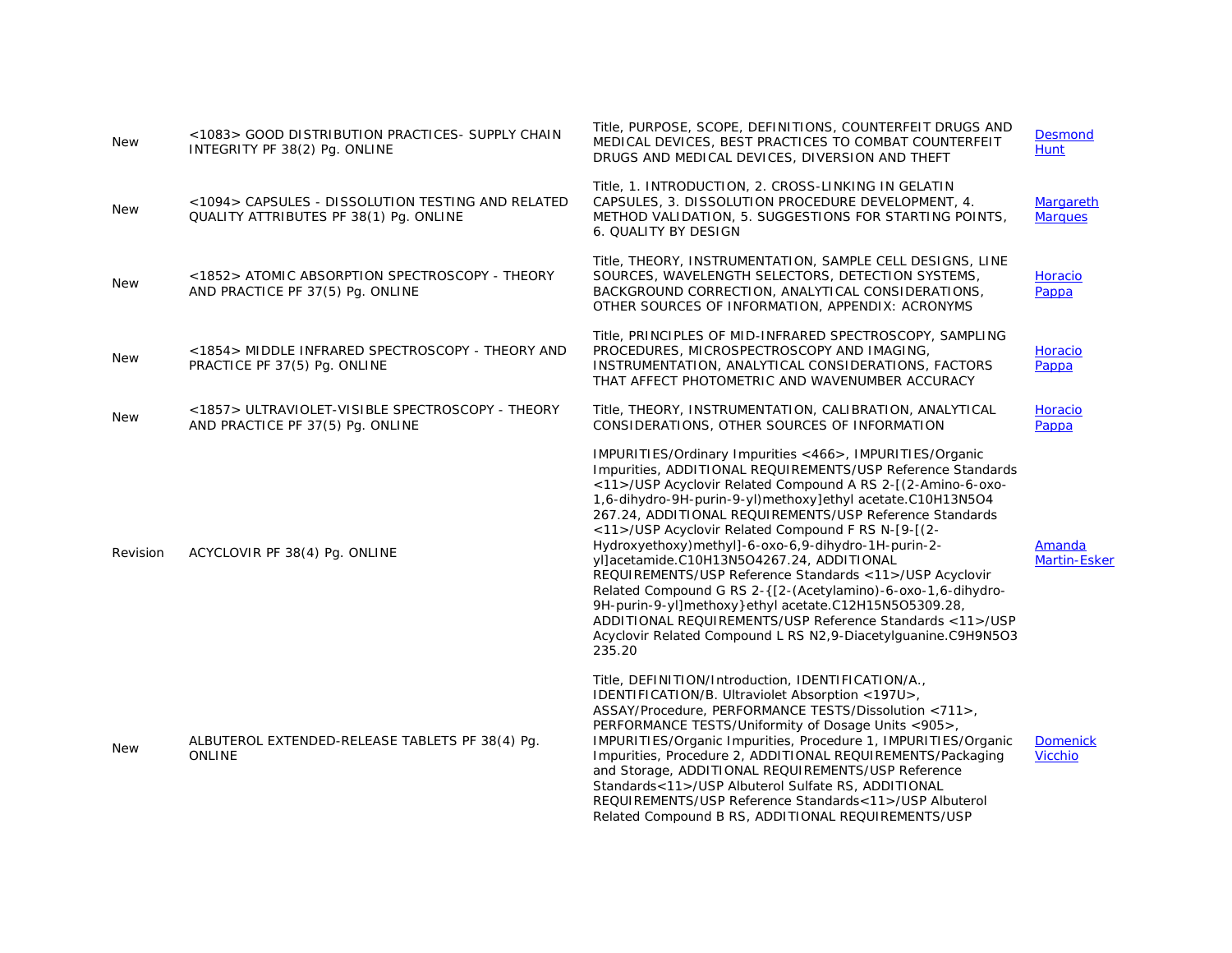| <b>New</b> | <1083> GOOD DISTRIBUTION PRACTICES- SUPPLY CHAIN<br>INTEGRITY PF 38(2) Pg. ONLINE           | Title, PURPOSE, SCOPE, DEFINITIONS, COUNTERFEIT DRUGS AND<br>MEDICAL DEVICES, BEST PRACTICES TO COMBAT COUNTERFEIT<br>DRUGS AND MEDICAL DEVICES, DIVERSION AND THEFT                                                                                                                                                                                                                                                                                                                                                                                                                                                                                                                                                                                                                                 | <b>Desmond</b><br><b>Hunt</b>     |
|------------|---------------------------------------------------------------------------------------------|------------------------------------------------------------------------------------------------------------------------------------------------------------------------------------------------------------------------------------------------------------------------------------------------------------------------------------------------------------------------------------------------------------------------------------------------------------------------------------------------------------------------------------------------------------------------------------------------------------------------------------------------------------------------------------------------------------------------------------------------------------------------------------------------------|-----------------------------------|
| <b>New</b> | <1094> CAPSULES - DISSOLUTION TESTING AND RELATED<br>QUALITY ATTRIBUTES PF 38(1) Pq. ONLINE | Title, 1. INTRODUCTION, 2. CROSS-LINKING IN GELATIN<br>CAPSULES, 3. DISSOLUTION PROCEDURE DEVELOPMENT, 4.<br>METHOD VALIDATION, 5. SUGGESTIONS FOR STARTING POINTS,<br>6. QUALITY BY DESIGN                                                                                                                                                                                                                                                                                                                                                                                                                                                                                                                                                                                                          | Margareth<br><b>Marques</b>       |
| <b>New</b> | <1852> ATOMIC ABSORPTION SPECTROSCOPY - THEORY<br>AND PRACTICE PF 37(5) Pg. ONLINE          | Title, THEORY, INSTRUMENTATION, SAMPLE CELL DESIGNS, LINE<br>SOURCES, WAVELENGTH SELECTORS, DETECTION SYSTEMS,<br>BACKGROUND CORRECTION, ANALYTICAL CONSIDERATIONS,<br>OTHER SOURCES OF INFORMATION, APPENDIX: ACRONYMS                                                                                                                                                                                                                                                                                                                                                                                                                                                                                                                                                                              | Horacio<br>Pappa                  |
| New        | <1854> MIDDLE INFRARED SPECTROSCOPY - THEORY AND<br>PRACTICE PF 37(5) Pg. ONLINE            | Title, PRINCIPLES OF MID-INFRARED SPECTROSCOPY, SAMPLING<br>PROCEDURES, MICROSPECTROSCOPY AND IMAGING,<br>INSTRUMENTATION, ANALYTICAL CONSIDERATIONS, FACTORS<br>THAT AFFECT PHOTOMETRIC AND WAVENUMBER ACCURACY                                                                                                                                                                                                                                                                                                                                                                                                                                                                                                                                                                                     | Horacio<br>Pappa                  |
| <b>New</b> | <1857> ULTRAVIOLET-VISIBLE SPECTROSCOPY - THEORY<br>AND PRACTICE PF 37(5) Pg. ONLINE        | Title, THEORY, INSTRUMENTATION, CALIBRATION, ANALYTICAL<br>CONSIDERATIONS, OTHER SOURCES OF INFORMATION                                                                                                                                                                                                                                                                                                                                                                                                                                                                                                                                                                                                                                                                                              | Horacio<br>Pappa                  |
| Revision   | ACYCLOVIR PF 38(4) Pg. ONLINE                                                               | IMPURITIES/Ordinary Impurities <466>, IMPURITIES/Organic<br>Impurities, ADDITIONAL REQUIREMENTS/USP Reference Standards<br><11>/USP Acyclovir Related Compound A RS 2-[(2-Amino-6-oxo-<br>1,6-dihydro-9H-purin-9-yl)methoxy]ethyl acetate.C10H13N5O4<br>267.24, ADDITIONAL REQUIREMENTS/USP Reference Standards<br><11>/USP Acyclovir Related Compound F RS N-[9-[(2-<br>Hydroxyethoxy)methyl]-6-oxo-6,9-dihydro-1H-purin-2-<br>yl]acetamide.C10H13N5O4267.24, ADDITIONAL<br>REQUIREMENTS/USP Reference Standards <11>/USP Acyclovir<br>Related Compound G RS 2-{[2-(Acetylamino)-6-oxo-1,6-dihydro-<br>9H-purin-9-yl]methoxy}ethyl acetate.C12H15N5O5309.28,<br>ADDITIONAL REQUIREMENTS/USP Reference Standards <11>/USP<br>Acyclovir Related Compound L RS N2,9-Diacetylguanine.C9H9N5O3<br>235.20 | Amanda<br><b>Martin-Esker</b>     |
| <b>New</b> | ALBUTEROL EXTENDED-RELEASE TABLETS PF 38(4) Pq.<br><b>ONLINE</b>                            | Title, DEFINITION/Introduction, IDENTIFICATION/A.,<br>IDENTIFICATION/B. Ultraviolet Absorption <197U>,<br>ASSAY/Procedure, PERFORMANCE TESTS/Dissolution <711>,<br>PERFORMANCE TESTS/Uniformity of Dosage Units <905>,<br>IMPURITIES/Organic Impurities, Procedure 1, IMPURITIES/Organic<br>Impurities, Procedure 2, ADDITIONAL REQUIREMENTS/Packaging<br>and Storage, ADDITIONAL REQUIREMENTS/USP Reference<br>Standards<11>/USP Albuterol Sulfate RS, ADDITIONAL<br>REQUIREMENTS/USP Reference Standards<11>/USP Albuterol<br>Related Compound B RS, ADDITIONAL REQUIREMENTS/USP                                                                                                                                                                                                                   | <b>Domenick</b><br><b>Vicchio</b> |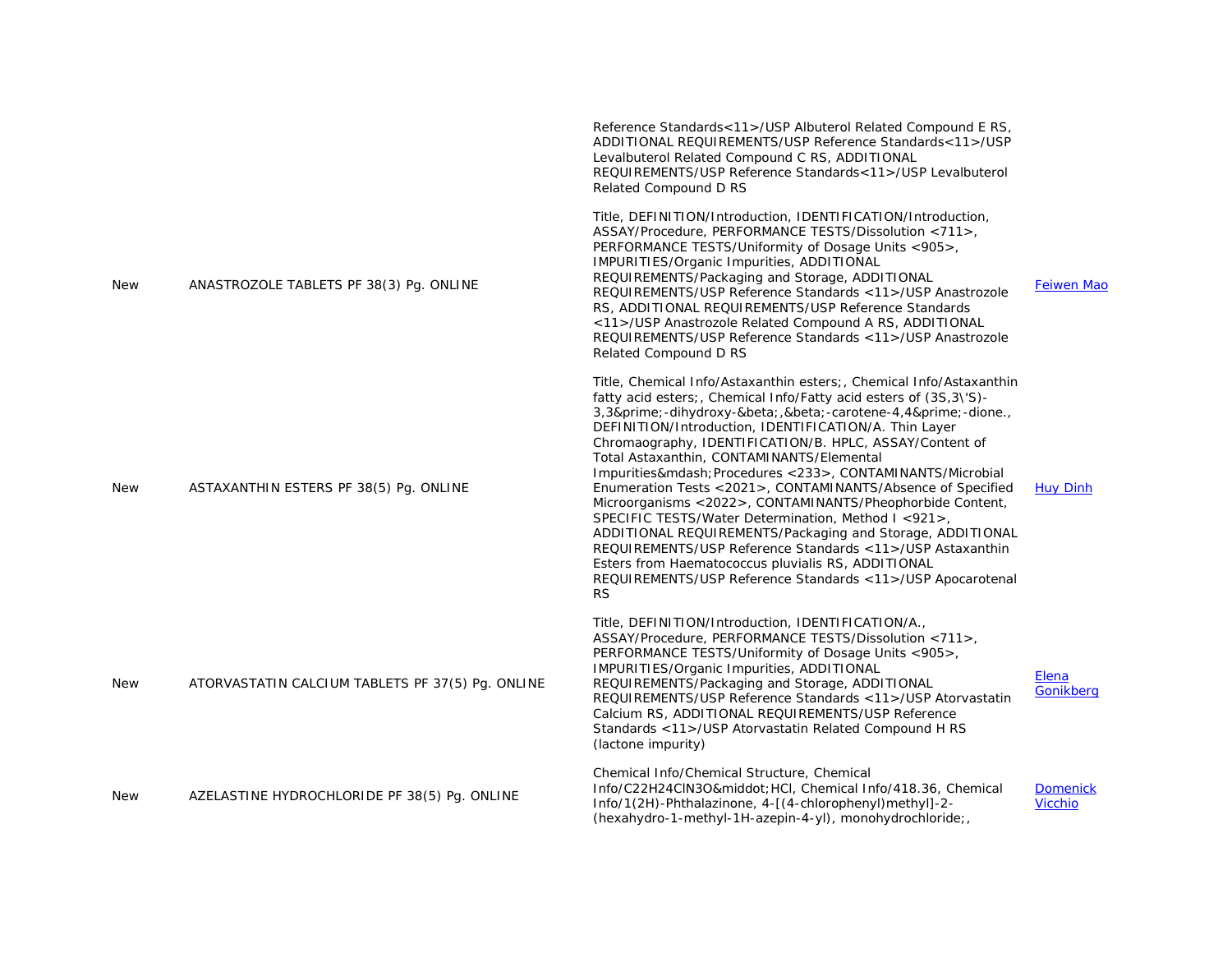|            |                                                  | Reference Standards<11>/USP Albuterol Related Compound E RS,<br>ADDITIONAL REQUIREMENTS/USP Reference Standards<11>/USP<br>Levalbuterol Related Compound C RS, ADDITIONAL<br>REQUIREMENTS/USP Reference Standards<11>/USP Levalbuterol<br>Related Compound D RS                                                                                                                                                                                                                                                                                                                                                                                                                                                                                                                                                                                            |                                   |
|------------|--------------------------------------------------|------------------------------------------------------------------------------------------------------------------------------------------------------------------------------------------------------------------------------------------------------------------------------------------------------------------------------------------------------------------------------------------------------------------------------------------------------------------------------------------------------------------------------------------------------------------------------------------------------------------------------------------------------------------------------------------------------------------------------------------------------------------------------------------------------------------------------------------------------------|-----------------------------------|
| <b>New</b> | ANASTROZOLE TABLETS PF 38(3) Pq. ONLINE          | Title, DEFINITION/Introduction, IDENTIFICATION/Introduction,<br>ASSAY/Procedure, PERFORMANCE TESTS/Dissolution <711>,<br>PERFORMANCE TESTS/Uniformity of Dosage Units <905>,<br>IMPURITIES/Organic Impurities, ADDITIONAL<br>REQUIREMENTS/Packaging and Storage, ADDITIONAL<br>REQUIREMENTS/USP Reference Standards <11>/USP Anastrozole<br>RS, ADDITIONAL REQUIREMENTS/USP Reference Standards<br><11>/USP Anastrozole Related Compound A RS, ADDITIONAL<br>REQUIREMENTS/USP Reference Standards < 11 >/USP Anastrozole<br>Related Compound D RS                                                                                                                                                                                                                                                                                                          | <b>Feiwen Mao</b>                 |
| New        | ASTAXANTHIN ESTERS PF 38(5) Pq. ONLINE           | Title, Chemical Info/Astaxanthin esters; Chemical Info/Astaxanthin<br>fatty acid esters;, Chemical Info/Fatty acid esters of (3S,3\'S)-<br>3,3′-dihydroxy-β,β-carotene-4,4′-dione.,<br>DEFINITION/Introduction, IDENTIFICATION/A. Thin Layer<br>Chromaography, IDENTIFICATION/B. HPLC, ASSAY/Content of<br>Total Astaxanthin, CONTAMINANTS/Elemental<br>Impurities— Procedures <233>, CONTAMINANTS/Microbial<br>Enumeration Tests <2021>, CONTAMINANTS/Absence of Specified<br>Microorganisms <2022>, CONTAMINANTS/Pheophorbide Content,<br>SPECIFIC TESTS/Water Determination, Method I <921>,<br>ADDITIONAL REQUIREMENTS/Packaging and Storage, ADDITIONAL<br>REQUIREMENTS/USP Reference Standards <11>/USP Astaxanthin<br>Esters from Haematococcus pluvialis RS, ADDITIONAL<br>REQUIREMENTS/USP Reference Standards <11>/USP Apocarotenal<br><b>RS</b> | <b>Huy Dinh</b>                   |
| <b>New</b> | ATORVASTATIN CALCIUM TABLETS PF 37(5) Pq. ONLINE | Title, DEFINITION/Introduction, IDENTIFICATION/A.,<br>ASSAY/Procedure, PERFORMANCE TESTS/Dissolution <711>,<br>PERFORMANCE TESTS/Uniformity of Dosage Units <905>.<br>IMPURITIES/Organic Impurities, ADDITIONAL<br>REQUIREMENTS/Packaging and Storage, ADDITIONAL<br>REQUIREMENTS/USP Reference Standards <11>/USP Atorvastatin<br>Calcium RS, ADDITIONAL REQUIREMENTS/USP Reference<br>Standards <11>/USP Atorvastatin Related Compound H RS<br>(lactone impurity)                                                                                                                                                                                                                                                                                                                                                                                        | Elena<br>Gonikberg                |
| New        | AZELASTINE HYDROCHLORIDE PF 38(5) Pq. ONLINE     | Chemical Info/Chemical Structure, Chemical<br>Info/C22H24ClN3O· HCl, Chemical Info/418.36, Chemical<br>Info/1(2H)-Phthalazinone, 4-[(4-chlorophenyl)methyl]-2-<br>(hexahydro-1-methyl-1H-azepin-4-yl), monohydrochloride;                                                                                                                                                                                                                                                                                                                                                                                                                                                                                                                                                                                                                                  | <b>Domenick</b><br><b>Vicchio</b> |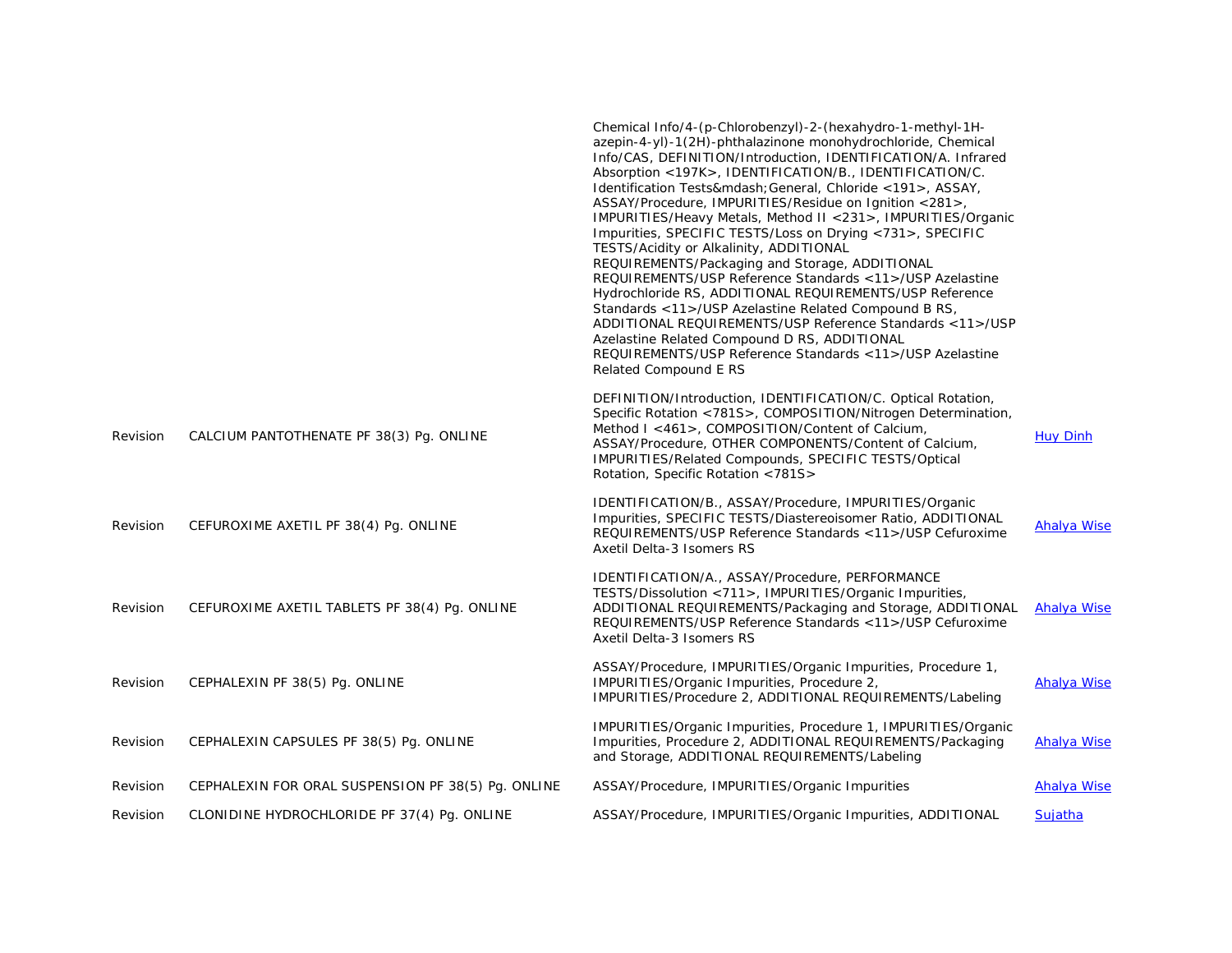|          |                                                    | Chemical Info/4-(p-Chlorobenzyl)-2-(hexahydro-1-methyl-1H-<br>azepin-4-yl)-1(2H)-phthalazinone monohydrochloride, Chemical<br>Info/CAS, DEFINITION/Introduction, IDENTIFICATION/A. Infrared<br>Absorption <197K>, IDENTIFICATION/B., IDENTIFICATION/C.<br>Identification Tests— General, Chloride <191>, ASSAY,<br>ASSAY/Procedure, IMPURITIES/Residue on Ignition <281>,<br>IMPURITIES/Heavy Metals, Method II <231>, IMPURITIES/Organic<br>Impurities, SPECIFIC TESTS/Loss on Drying <731>, SPECIFIC<br>TESTS/Acidity or Alkalinity, ADDITIONAL<br>REQUIREMENTS/Packaging and Storage, ADDITIONAL<br>REQUIREMENTS/USP Reference Standards <11>/USP Azelastine<br>Hydrochloride RS, ADDITIONAL REQUIREMENTS/USP Reference<br>Standards <11>/USP Azelastine Related Compound B RS,<br>ADDITIONAL REQUIREMENTS/USP Reference Standards <11>/USP<br>Azelastine Related Compound D RS, ADDITIONAL<br>REQUIREMENTS/USP Reference Standards <11>/USP Azelastine<br>Related Compound E RS |                    |
|----------|----------------------------------------------------|-------------------------------------------------------------------------------------------------------------------------------------------------------------------------------------------------------------------------------------------------------------------------------------------------------------------------------------------------------------------------------------------------------------------------------------------------------------------------------------------------------------------------------------------------------------------------------------------------------------------------------------------------------------------------------------------------------------------------------------------------------------------------------------------------------------------------------------------------------------------------------------------------------------------------------------------------------------------------------------|--------------------|
| Revision | CALCIUM PANTOTHENATE PF 38(3) Pq. ONLINE           | DEFINITION/Introduction, IDENTIFICATION/C. Optical Rotation,<br>Specific Rotation <781S>, COMPOSITION/Nitrogen Determination,<br>Method I <461>, COMPOSITION/Content of Calcium,<br>ASSAY/Procedure, OTHER COMPONENTS/Content of Calcium,<br>IMPURITIES/Related Compounds, SPECIFIC TESTS/Optical<br>Rotation, Specific Rotation <781S>                                                                                                                                                                                                                                                                                                                                                                                                                                                                                                                                                                                                                                             | <b>Huy Dinh</b>    |
| Revision | CEFUROXIME AXETIL PF 38(4) Pg. ONLINE              | IDENTIFICATION/B., ASSAY/Procedure, IMPURITIES/Organic<br>Impurities, SPECIFIC TESTS/Diastereoisomer Ratio, ADDITIONAL<br>REQUIREMENTS/USP Reference Standards <11>/USP Cefuroxime<br>Axetil Delta-3 Isomers RS                                                                                                                                                                                                                                                                                                                                                                                                                                                                                                                                                                                                                                                                                                                                                                     | <b>Ahalya Wise</b> |
| Revision | CEFUROXIME AXETIL TABLETS PF 38(4) Pg. ONLINE      | IDENTIFICATION/A., ASSAY/Procedure, PERFORMANCE<br>TESTS/Dissolution <711>, IMPURITIES/Organic Impurities,<br>ADDITIONAL REQUIREMENTS/Packaging and Storage, ADDITIONAL<br>REQUIREMENTS/USP Reference Standards <11>/USP Cefuroxime<br>Axetil Delta-3 Isomers RS                                                                                                                                                                                                                                                                                                                                                                                                                                                                                                                                                                                                                                                                                                                    | <b>Ahalya Wise</b> |
| Revision | CEPHALEXIN PF 38(5) Pg. ONLINE                     | ASSAY/Procedure, IMPURITIES/Organic Impurities, Procedure 1,<br>IMPURITIES/Organic Impurities, Procedure 2,<br>IMPURITIES/Procedure 2, ADDITIONAL REQUIREMENTS/Labeling                                                                                                                                                                                                                                                                                                                                                                                                                                                                                                                                                                                                                                                                                                                                                                                                             | Ahalya Wise        |
| Revision | CEPHALEXIN CAPSULES PF 38(5) Pg. ONLINE            | IMPURITIES/Organic Impurities, Procedure 1, IMPURITIES/Organic<br>Impurities, Procedure 2, ADDITIONAL REQUIREMENTS/Packaging<br>and Storage, ADDITIONAL REQUIREMENTS/Labeling                                                                                                                                                                                                                                                                                                                                                                                                                                                                                                                                                                                                                                                                                                                                                                                                       | <b>Ahalya Wise</b> |
| Revision | CEPHALEXIN FOR ORAL SUSPENSION PF 38(5) Pq. ONLINE | ASSAY/Procedure, IMPURITIES/Organic Impurities                                                                                                                                                                                                                                                                                                                                                                                                                                                                                                                                                                                                                                                                                                                                                                                                                                                                                                                                      | <b>Ahalya Wise</b> |
| Revision | CLONIDINE HYDROCHLORIDE PF 37(4) Pq. ONLINE        | ASSAY/Procedure, IMPURITIES/Organic Impurities, ADDITIONAL                                                                                                                                                                                                                                                                                                                                                                                                                                                                                                                                                                                                                                                                                                                                                                                                                                                                                                                          | <b>Sujatha</b>     |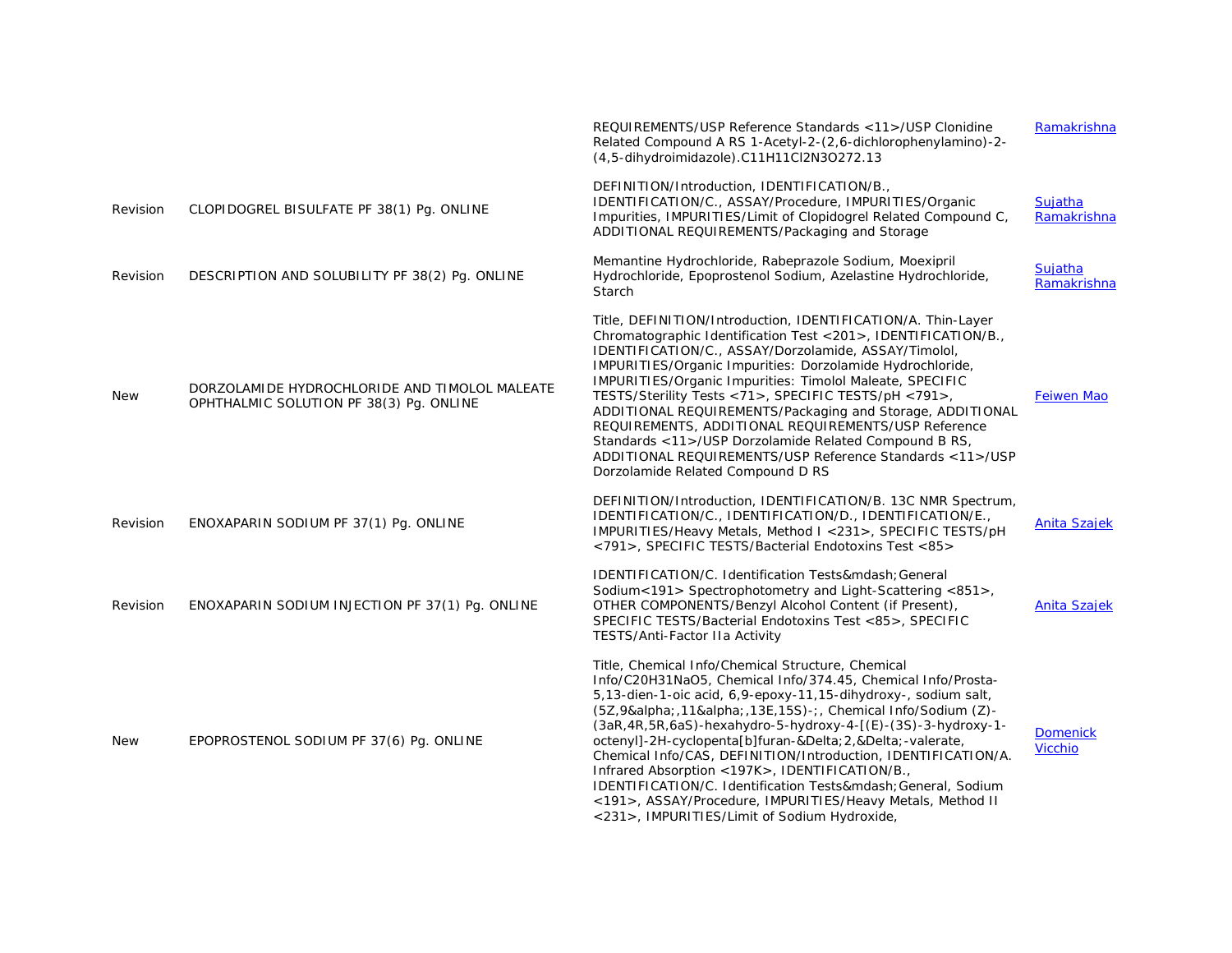|            |                                                                                          | REQUIREMENTS/USP Reference Standards <11>/USP Clonidine<br>Related Compound A RS 1-Acetyl-2-(2,6-dichlorophenylamino)-2-<br>(4,5-dihydroimidazole).C11H11Cl2N3O272.13                                                                                                                                                                                                                                                                                                                                                                                                                                                                                    | Ramakrishna                       |
|------------|------------------------------------------------------------------------------------------|----------------------------------------------------------------------------------------------------------------------------------------------------------------------------------------------------------------------------------------------------------------------------------------------------------------------------------------------------------------------------------------------------------------------------------------------------------------------------------------------------------------------------------------------------------------------------------------------------------------------------------------------------------|-----------------------------------|
| Revision   | CLOPIDOGREL BISULFATE PF 38(1) Pg. ONLINE                                                | DEFINITION/Introduction, IDENTIFICATION/B.,<br>IDENTIFICATION/C., ASSAY/Procedure, IMPURITIES/Organic<br>Impurities, IMPURITIES/Limit of Clopidogrel Related Compound C,<br>ADDITIONAL REQUIREMENTS/Packaging and Storage                                                                                                                                                                                                                                                                                                                                                                                                                                | Sujatha<br>Ramakrishna            |
| Revision   | DESCRIPTION AND SOLUBILITY PF 38(2) Pq. ONLINE                                           | Memantine Hydrochloride, Rabeprazole Sodium, Moexipril<br>Hydrochloride, Epoprostenol Sodium, Azelastine Hydrochloride,<br>Starch                                                                                                                                                                                                                                                                                                                                                                                                                                                                                                                        | Sujatha<br>Ramakrishna            |
| <b>New</b> | DORZOLAMIDE HYDROCHLORIDE AND TIMOLOL MALEATE<br>OPHTHALMIC SOLUTION PF 38(3) Pg. ONLINE | Title, DEFINITION/Introduction, IDENTIFICATION/A. Thin-Layer<br>Chromatographic Identification Test <201>, IDENTIFICATION/B.,<br>IDENTIFICATION/C., ASSAY/Dorzolamide, ASSAY/Timolol,<br>IMPURITIES/Organic Impurities: Dorzolamide Hydrochloride,<br>IMPURITIES/Organic Impurities: Timolol Maleate, SPECIFIC<br>TESTS/Sterility Tests <71>, SPECIFIC TESTS/pH <791>,<br>ADDITIONAL REQUIREMENTS/Packaging and Storage, ADDITIONAL<br>REQUIREMENTS, ADDITIONAL REQUIREMENTS/USP Reference<br>Standards <11>/USP Dorzolamide Related Compound B RS,<br>ADDITIONAL REQUIREMENTS/USP Reference Standards <11>/USP<br>Dorzolamide Related Compound D RS     | <b>Feiwen Mao</b>                 |
| Revision   | ENOXAPARIN SODIUM PF 37(1) Pq. ONLINE                                                    | DEFINITION/Introduction, IDENTIFICATION/B. 13C NMR Spectrum,<br>IDENTIFICATION/C., IDENTIFICATION/D., IDENTIFICATION/E.,<br>IMPURITIES/Heavy Metals, Method I <231>, SPECIFIC TESTS/pH<br><791>, SPECIFIC TESTS/Bacterial Endotoxins Test <85>                                                                                                                                                                                                                                                                                                                                                                                                           | <b>Anita Szajek</b>               |
| Revision   | ENOXAPARIN SODIUM INJECTION PF 37(1) Pg. ONLINE                                          | IDENTIFICATION/C. Identification Tests— General<br>Sodium<191> Spectrophotometry and Light-Scattering <851>,<br>OTHER COMPONENTS/Benzyl Alcohol Content (if Present),<br>SPECIFIC TESTS/Bacterial Endotoxins Test <85>, SPECIFIC<br>TESTS/Anti-Factor IIa Activity                                                                                                                                                                                                                                                                                                                                                                                       | <b>Anita Szajek</b>               |
| <b>New</b> | EPOPROSTENOL SODIUM PF 37(6) Pg. ONLINE                                                  | Title, Chemical Info/Chemical Structure, Chemical<br>Info/C20H31NaO5, Chemical Info/374.45, Chemical Info/Prosta-<br>5,13-dien-1-oic acid, 6,9-epoxy-11,15-dihydroxy-, sodium salt,<br>(5Z,9α 11α 13E,15S)-; Chemical Info/Sodium (Z)-<br>(3aR, 4R, 5R, 6aS)-hexahydro-5-hydroxy-4-[(E)-(3S)-3-hydroxy-1-<br>octenyl]-2H-cyclopenta[b]furan-Δ 2,Δ -valerate,<br>Chemical Info/CAS, DEFINITION/Introduction, IDENTIFICATION/A.<br>Infrared Absorption <197K>, IDENTIFICATION/B.,<br>IDENTIFICATION/C. Identification Tests— General, Sodium<br><191>, ASSAY/Procedure, IMPURITIES/Heavy Metals, Method II<br><231>, IMPURITIES/Limit of Sodium Hydroxide, | <b>Domenick</b><br><b>Vicchio</b> |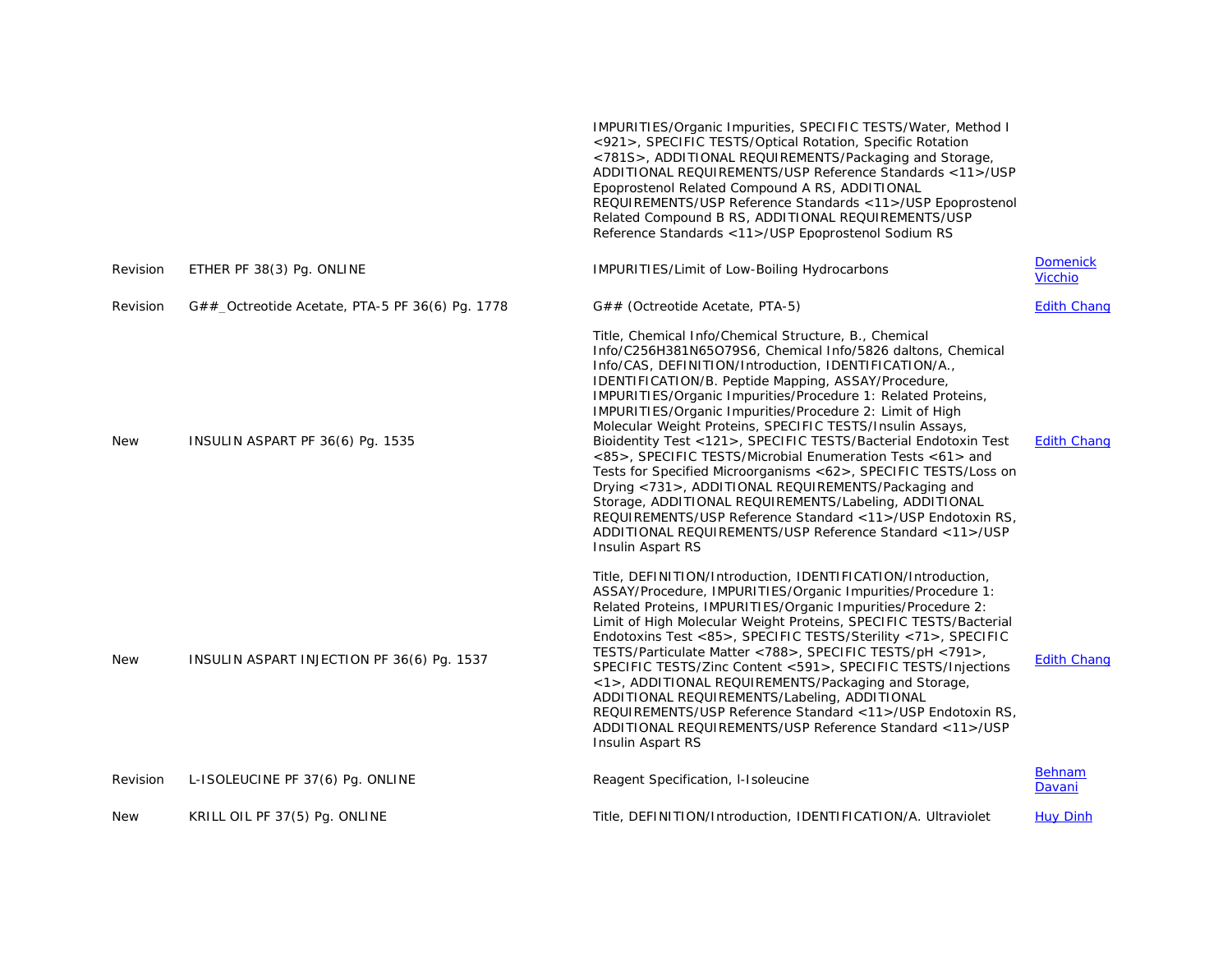|            |                                                   | IMPURITIES/Organic Impurities, SPECIFIC TESTS/Water, Method I<br><921>, SPECIFIC TESTS/Optical Rotation, Specific Rotation<br><781S>, ADDITIONAL REQUIREMENTS/Packaging and Storage,<br>ADDITIONAL REQUIREMENTS/USP Reference Standards <11>/USP<br>Epoprostenol Related Compound A RS, ADDITIONAL<br>REQUIREMENTS/USP Reference Standards <11>/USP Epoprostenol<br>Related Compound B RS, ADDITIONAL REQUIREMENTS/USP<br>Reference Standards <11>/USP Epoprostenol Sodium RS                                                                                                                                                                                                                                                                                                                                                                                                                         |                                   |
|------------|---------------------------------------------------|-------------------------------------------------------------------------------------------------------------------------------------------------------------------------------------------------------------------------------------------------------------------------------------------------------------------------------------------------------------------------------------------------------------------------------------------------------------------------------------------------------------------------------------------------------------------------------------------------------------------------------------------------------------------------------------------------------------------------------------------------------------------------------------------------------------------------------------------------------------------------------------------------------|-----------------------------------|
| Revision   | ETHER PF 38(3) Pg. ONLINE                         | IMPURITIES/Limit of Low-Boiling Hydrocarbons                                                                                                                                                                                                                                                                                                                                                                                                                                                                                                                                                                                                                                                                                                                                                                                                                                                          | <b>Domenick</b><br><b>Vicchio</b> |
| Revision   | $G##$ Octreotide Acetate, PTA-5 PF 36(6) Pg. 1778 | G## (Octreotide Acetate, PTA-5)                                                                                                                                                                                                                                                                                                                                                                                                                                                                                                                                                                                                                                                                                                                                                                                                                                                                       | <b>Edith Chang</b>                |
| <b>New</b> | INSULIN ASPART PF 36(6) Pg. 1535                  | Title, Chemical Info/Chemical Structure, B., Chemical<br>Info/C256H381N65O79S6, Chemical Info/5826 daltons, Chemical<br>Info/CAS, DEFINITION/Introduction, IDENTIFICATION/A.,<br>IDENTIFICATION/B. Peptide Mapping, ASSAY/Procedure,<br>IMPURITIES/Organic Impurities/Procedure 1: Related Proteins,<br>IMPURITIES/Organic Impurities/Procedure 2: Limit of High<br>Molecular Weight Proteins, SPECIFIC TESTS/Insulin Assays,<br>Bioidentity Test <121>, SPECIFIC TESTS/Bacterial Endotoxin Test<br><85>, SPECIFIC TESTS/Microbial Enumeration Tests <61> and<br>Tests for Specified Microorganisms <62>, SPECIFIC TESTS/Loss on<br>Drying <731>, ADDITIONAL REQUIREMENTS/Packaging and<br>Storage, ADDITIONAL REQUIREMENTS/Labeling, ADDITIONAL<br>REQUIREMENTS/USP Reference Standard <11>/USP Endotoxin RS,<br>ADDITIONAL REQUIREMENTS/USP Reference Standard <11>/USP<br><b>Insulin Aspart RS</b> | <b>Edith Chang</b>                |
| <b>New</b> | INSULIN ASPART INJECTION PF 36(6) Pq. 1537        | Title, DEFINITION/Introduction, IDENTIFICATION/Introduction,<br>ASSAY/Procedure, IMPURITIES/Organic Impurities/Procedure 1:<br>Related Proteins, IMPURITIES/Organic Impurities/Procedure 2:<br>Limit of High Molecular Weight Proteins, SPECIFIC TESTS/Bacterial<br>Endotoxins Test <85>, SPECIFIC TESTS/Sterility <71>, SPECIFIC<br>TESTS/Particulate Matter <788>, SPECIFIC TESTS/pH <791>,<br>SPECIFIC TESTS/Zinc Content <591>, SPECIFIC TESTS/Injections<br><1>, ADDITIONAL REQUIREMENTS/Packaging and Storage,<br>ADDITIONAL REQUIREMENTS/Labeling, ADDITIONAL<br>REQUIREMENTS/USP Reference Standard <11>/USP Endotoxin RS,<br>ADDITIONAL REQUIREMENTS/USP Reference Standard <11>/USP<br>Insulin Aspart RS                                                                                                                                                                                    | <b>Edith Chang</b>                |
| Revision   | L-ISOLEUCINE PF 37(6) Pg. ONLINE                  | Reagent Specification, I-Isoleucine                                                                                                                                                                                                                                                                                                                                                                                                                                                                                                                                                                                                                                                                                                                                                                                                                                                                   | <b>Behnam</b><br>Davani           |
| <b>New</b> | KRILL OIL PF 37(5) Pq. ONLINE                     | Title, DEFINITION/Introduction, IDENTIFICATION/A. Ultraviolet                                                                                                                                                                                                                                                                                                                                                                                                                                                                                                                                                                                                                                                                                                                                                                                                                                         | <b>Huy Dinh</b>                   |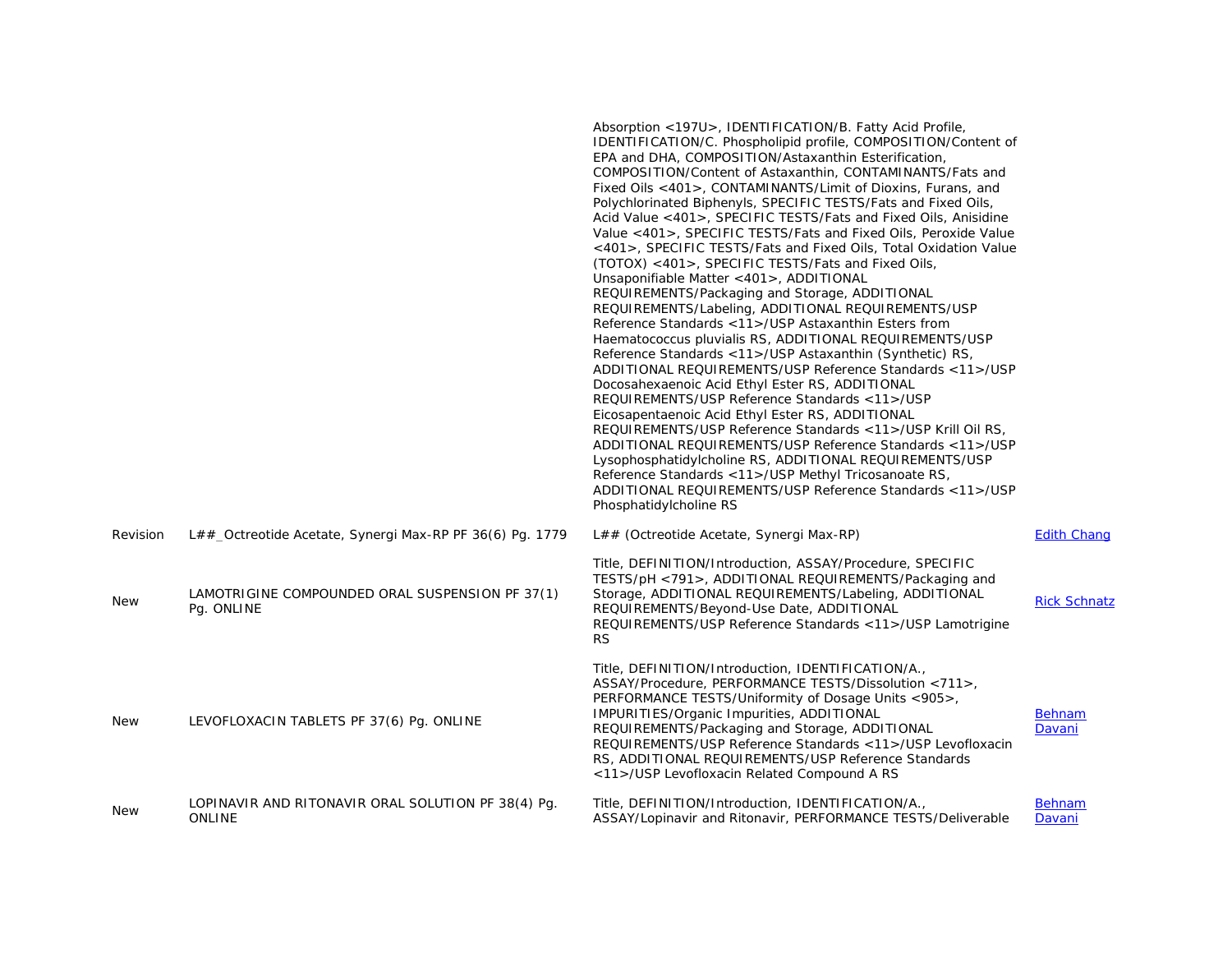|            |                                                                     | Absorption <197U>, IDENTIFICATION/B. Fatty Acid Profile,<br>IDENTIFICATION/C. Phospholipid profile, COMPOSITION/Content of<br>EPA and DHA, COMPOSITION/Astaxanthin Esterification,<br>COMPOSITION/Content of Astaxanthin, CONTAMINANTS/Fats and<br>Fixed Oils <401>, CONTAMINANTS/Limit of Dioxins, Furans, and<br>Polychlorinated Biphenyls, SPECIFIC TESTS/Fats and Fixed Oils,<br>Acid Value <401>, SPECIFIC TESTS/Fats and Fixed Oils, Anisidine<br>Value <401>, SPECIFIC TESTS/Fats and Fixed Oils, Peroxide Value<br><401>, SPECIFIC TESTS/Fats and Fixed Oils, Total Oxidation Value<br>(TOTOX) <401>, SPECIFIC TESTS/Fats and Fixed Oils,<br>Unsaponifiable Matter <401>, ADDITIONAL<br>REQUIREMENTS/Packaging and Storage, ADDITIONAL<br>REQUIREMENTS/Labeling, ADDITIONAL REQUIREMENTS/USP<br>Reference Standards <11>/USP Astaxanthin Esters from<br>Haematococcus pluvialis RS, ADDITIONAL REQUIREMENTS/USP<br>Reference Standards <11>/USP Astaxanthin (Synthetic) RS,<br>ADDITIONAL REQUIREMENTS/USP Reference Standards <11>/USP<br>Docosahexaenoic Acid Ethyl Ester RS, ADDITIONAL<br>REQUIREMENTS/USP Reference Standards <11>/USP<br>Eicosapentaenoic Acid Ethyl Ester RS, ADDITIONAL<br>REQUIREMENTS/USP Reference Standards <11>/USP Krill Oil RS,<br>ADDITIONAL REQUIREMENTS/USP Reference Standards <11>/USP<br>Lysophosphatidylcholine RS, ADDITIONAL REQUIREMENTS/USP<br>Reference Standards <11>/USP Methyl Tricosanoate RS,<br>ADDITIONAL REQUIREMENTS/USP Reference Standards <11>/USP<br>Phosphatidylcholine RS |                         |
|------------|---------------------------------------------------------------------|---------------------------------------------------------------------------------------------------------------------------------------------------------------------------------------------------------------------------------------------------------------------------------------------------------------------------------------------------------------------------------------------------------------------------------------------------------------------------------------------------------------------------------------------------------------------------------------------------------------------------------------------------------------------------------------------------------------------------------------------------------------------------------------------------------------------------------------------------------------------------------------------------------------------------------------------------------------------------------------------------------------------------------------------------------------------------------------------------------------------------------------------------------------------------------------------------------------------------------------------------------------------------------------------------------------------------------------------------------------------------------------------------------------------------------------------------------------------------------------------------------------------------------------------|-------------------------|
| Revision   | L##_Octreotide Acetate, Synergi Max-RP PF 36(6) Pg. 1779            | L## (Octreotide Acetate, Synergi Max-RP)                                                                                                                                                                                                                                                                                                                                                                                                                                                                                                                                                                                                                                                                                                                                                                                                                                                                                                                                                                                                                                                                                                                                                                                                                                                                                                                                                                                                                                                                                                    | <b>Edith Chang</b>      |
| <b>New</b> | LAMOTRIGINE COMPOUNDED ORAL SUSPENSION PF 37(1)<br>Pq. ONLINE       | Title, DEFINITION/Introduction, ASSAY/Procedure, SPECIFIC<br>TESTS/pH <791>, ADDITIONAL REQUIREMENTS/Packaging and<br>Storage, ADDITIONAL REQUIREMENTS/Labeling, ADDITIONAL<br>REQUIREMENTS/Beyond-Use Date, ADDITIONAL<br>REQUIREMENTS/USP Reference Standards <11>/USP Lamotrigine<br><b>RS</b>                                                                                                                                                                                                                                                                                                                                                                                                                                                                                                                                                                                                                                                                                                                                                                                                                                                                                                                                                                                                                                                                                                                                                                                                                                           | <b>Rick Schnatz</b>     |
| <b>New</b> | LEVOFLOXACIN TABLETS PF 37(6) Pq. ONLINE                            | Title, DEFINITION/Introduction, IDENTIFICATION/A.,<br>ASSAY/Procedure, PERFORMANCE TESTS/Dissolution <711>,<br>PERFORMANCE TESTS/Uniformity of Dosage Units <905>,<br>IMPURITIES/Organic Impurities, ADDITIONAL<br>REQUIREMENTS/Packaging and Storage, ADDITIONAL<br>REQUIREMENTS/USP Reference Standards <11>/USP Levofloxacin<br>RS, ADDITIONAL REQUIREMENTS/USP Reference Standards<br><11>/USP Levofloxacin Related Compound A RS                                                                                                                                                                                                                                                                                                                                                                                                                                                                                                                                                                                                                                                                                                                                                                                                                                                                                                                                                                                                                                                                                                       | Behnam<br>Davani        |
| <b>New</b> | LOPINAVIR AND RITONAVIR ORAL SOLUTION PF 38(4) Pq.<br><b>ONLINE</b> | Title, DEFINITION/Introduction, IDENTIFICATION/A.,<br>ASSAY/Lopinavir and Ritonavir, PERFORMANCE TESTS/Deliverable                                                                                                                                                                                                                                                                                                                                                                                                                                                                                                                                                                                                                                                                                                                                                                                                                                                                                                                                                                                                                                                                                                                                                                                                                                                                                                                                                                                                                          | <b>Behnam</b><br>Davani |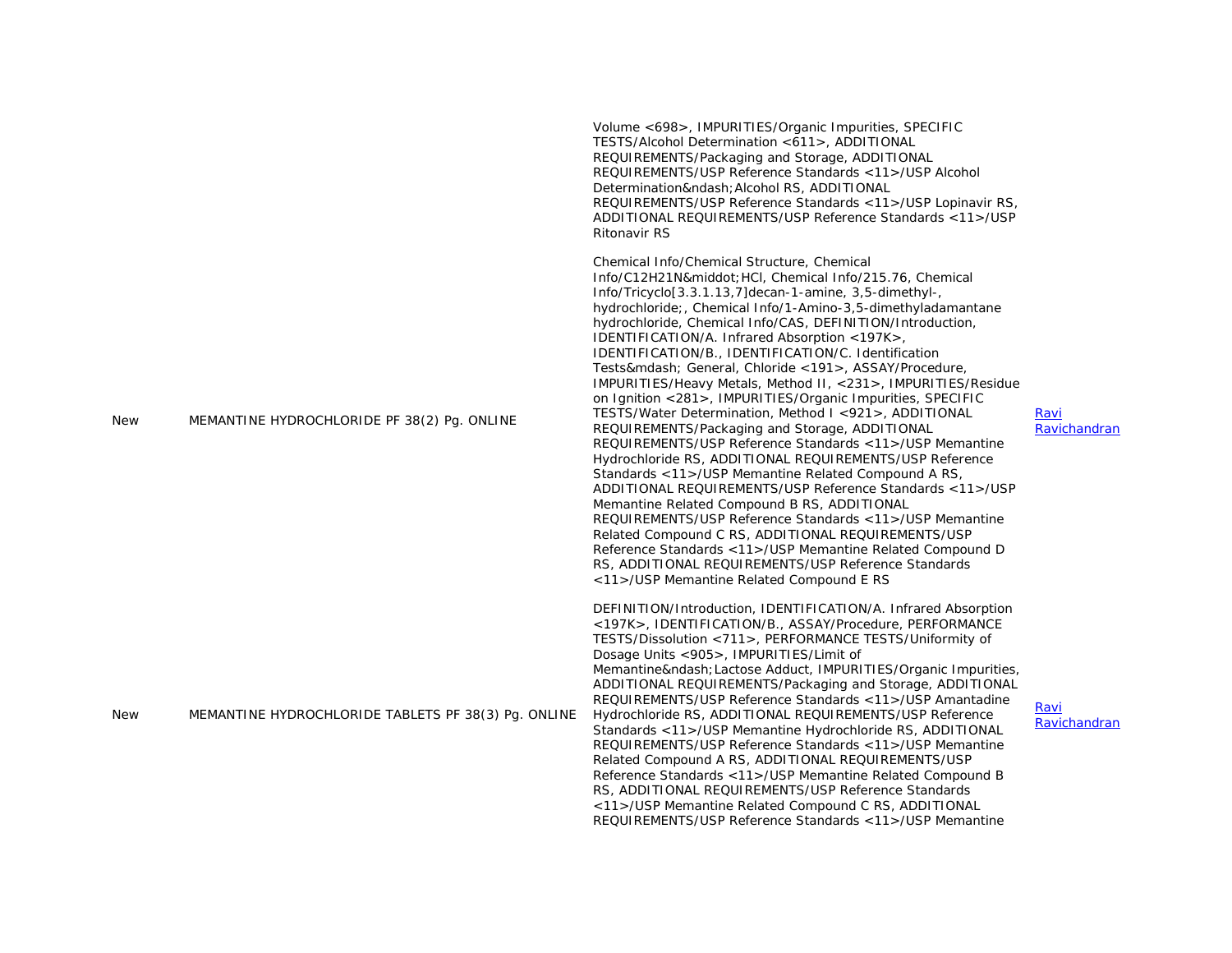|            |                                                     | Volume <698>, IMPURITIES/Organic Impurities, SPECIFIC<br>TESTS/Alcohol Determination <611>, ADDITIONAL<br>REQUIREMENTS/Packaging and Storage, ADDITIONAL<br>REQUIREMENTS/USP Reference Standards < 11 >/USP Alcohol<br>Determination– Alcohol RS, ADDITIONAL<br>REQUIREMENTS/USP Reference Standards <11>/USP Lopinavir RS,<br>ADDITIONAL REQUIREMENTS/USP Reference Standards <11>/USP<br><b>Ritonavir RS</b>                                                                                                                                                                                                                                                                                                                                                                                                                                                                                                                                                                                                                                                                                                                                                                                                                                                         |                      |
|------------|-----------------------------------------------------|------------------------------------------------------------------------------------------------------------------------------------------------------------------------------------------------------------------------------------------------------------------------------------------------------------------------------------------------------------------------------------------------------------------------------------------------------------------------------------------------------------------------------------------------------------------------------------------------------------------------------------------------------------------------------------------------------------------------------------------------------------------------------------------------------------------------------------------------------------------------------------------------------------------------------------------------------------------------------------------------------------------------------------------------------------------------------------------------------------------------------------------------------------------------------------------------------------------------------------------------------------------------|----------------------|
| <b>New</b> | MEMANTINE HYDROCHLORIDE PF 38(2) Pg. ONLINE         | Chemical Info/Chemical Structure, Chemical<br>Info/C12H21N· HCI, Chemical Info/215.76, Chemical<br>Info/Tricyclo[3.3.1.13,7]decan-1-amine, 3,5-dimethyl-,<br>hydrochloride;, Chemical Info/1-Amino-3,5-dimethyladamantane<br>hydrochloride, Chemical Info/CAS, DEFINITION/Introduction,<br>IDENTIFICATION/A. Infrared Absorption <197K>,<br>IDENTIFICATION/B., IDENTIFICATION/C. Identification<br>Tests— General, Chloride <191>, ASSAY/Procedure,<br>IMPURITIES/Heavy Metals, Method II, <231>, IMPURITIES/Residue<br>on Ignition <281>, IMPURITIES/Organic Impurities, SPECIFIC<br>TESTS/Water Determination, Method I <921>, ADDITIONAL<br>REQUIREMENTS/Packaging and Storage, ADDITIONAL<br>REQUIREMENTS/USP Reference Standards <11>/USP Memantine<br>Hydrochloride RS, ADDITIONAL REQUIREMENTS/USP Reference<br>Standards <11>/USP Memantine Related Compound A RS,<br>ADDITIONAL REQUIREMENTS/USP Reference Standards <11>/USP<br>Memantine Related Compound B RS, ADDITIONAL<br>REQUIREMENTS/USP Reference Standards <11>/USP Memantine<br>Related Compound C RS, ADDITIONAL REQUIREMENTS/USP<br>Reference Standards <11>/USP Memantine Related Compound D<br>RS, ADDITIONAL REQUIREMENTS/USP Reference Standards<br><11>/USP Memantine Related Compound E RS | Ravi<br>Ravichandran |
| <b>New</b> | MEMANTINE HYDROCHLORIDE TABLETS PF 38(3) Pg. ONLINE | DEFINITION/Introduction, IDENTIFICATION/A. Infrared Absorption<br><197K>, IDENTIFICATION/B., ASSAY/Procedure, PERFORMANCE<br>TESTS/Dissolution <711>, PERFORMANCE TESTS/Uniformity of<br>Dosage Units <905>, IMPURITIES/Limit of<br>Memantine– Lactose Adduct, IMPURITIES/Organic Impurities,<br>ADDITIONAL REQUIREMENTS/Packaging and Storage, ADDITIONAL<br>REQUIREMENTS/USP Reference Standards <11>/USP Amantadine<br>Hydrochloride RS, ADDITIONAL REQUIREMENTS/USP Reference<br>Standards <11>/USP Memantine Hydrochloride RS, ADDITIONAL<br>REQUIREMENTS/USP Reference Standards <11>/USP Memantine<br>Related Compound A RS, ADDITIONAL REQUIREMENTS/USP<br>Reference Standards <11>/USP Memantine Related Compound B<br>RS, ADDITIONAL REQUIREMENTS/USP Reference Standards<br><11>/USP Memantine Related Compound C RS, ADDITIONAL<br>REQUIREMENTS/USP Reference Standards <11>/USP Memantine                                                                                                                                                                                                                                                                                                                                                                 | Ravi<br>Ravichandran |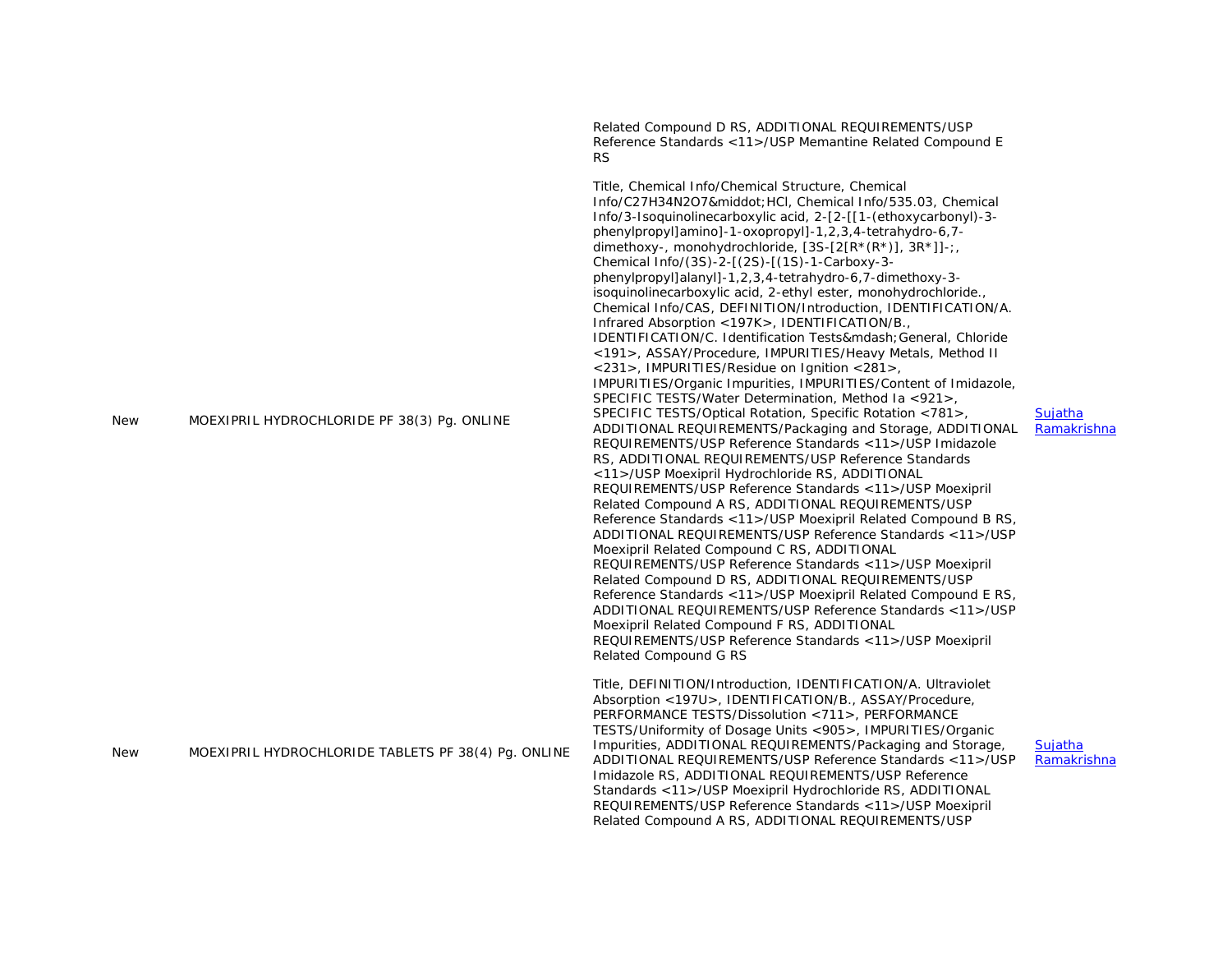|     |                                                     | Related Compound D RS, ADDITIONAL REQUIREMENTS/USP<br>Reference Standards <11>/USP Memantine Related Compound E<br><b>RS</b>                                                                                                                                                                                                                                                                                                                                                                                                                                                                                                                                                                                                                                                                                                                                                                                                                                                                                                                                                                                                                                                                                                                                                                                                                                                                                                                                                                                                                                                                                                                                                                                                                                                                                                                                                                     |                               |
|-----|-----------------------------------------------------|--------------------------------------------------------------------------------------------------------------------------------------------------------------------------------------------------------------------------------------------------------------------------------------------------------------------------------------------------------------------------------------------------------------------------------------------------------------------------------------------------------------------------------------------------------------------------------------------------------------------------------------------------------------------------------------------------------------------------------------------------------------------------------------------------------------------------------------------------------------------------------------------------------------------------------------------------------------------------------------------------------------------------------------------------------------------------------------------------------------------------------------------------------------------------------------------------------------------------------------------------------------------------------------------------------------------------------------------------------------------------------------------------------------------------------------------------------------------------------------------------------------------------------------------------------------------------------------------------------------------------------------------------------------------------------------------------------------------------------------------------------------------------------------------------------------------------------------------------------------------------------------------------|-------------------------------|
| New | MOEXIPRIL HYDROCHLORIDE PF 38(3) Pq. ONLINE         | Title, Chemical Info/Chemical Structure, Chemical<br>Info/C27H34N2O7· HCI, Chemical Info/535.03, Chemical<br>Info/3-Isoquinolinecarboxylic acid, 2-[2-[[1-(ethoxycarbonyl)-3-<br>phenylpropyl]amino]-1-oxopropyl]-1,2,3,4-tetrahydro-6,7-<br>dimethoxy-, monohydrochloride, $[3S-[2[R*(R*)], 3R*]]-;$<br>Chemical Info/(3S)-2-[(2S)-[(1S)-1-Carboxy-3-<br>phenylpropyl]alanyl]-1,2,3,4-tetrahydro-6,7-dimethoxy-3-<br>isoquinolinecarboxylic acid, 2-ethyl ester, monohydrochloride.<br>Chemical Info/CAS, DEFINITION/Introduction, IDENTIFICATION/A.<br>Infrared Absorption <197K>, IDENTIFICATION/B.,<br>IDENTIFICATION/C. Identification Tests— General, Chloride<br><191>, ASSAY/Procedure, IMPURITIES/Heavy Metals, Method II<br>$<$ 231>, IMPURITIES/Residue on Ignition $<$ 281>,<br>IMPURITIES/Organic Impurities, IMPURITIES/Content of Imidazole,<br>SPECIFIC TESTS/Water Determination, Method Ia <921>,<br>SPECIFIC TESTS/Optical Rotation, Specific Rotation <781>,<br>ADDITIONAL REQUIREMENTS/Packaging and Storage, ADDITIONAL<br>REQUIREMENTS/USP Reference Standards <11>/USP Imidazole<br>RS, ADDITIONAL REQUIREMENTS/USP Reference Standards<br><11>/USP Moexipril Hydrochloride RS, ADDITIONAL<br>REQUIREMENTS/USP Reference Standards <11>/USP Moexipril<br>Related Compound A RS, ADDITIONAL REQUIREMENTS/USP<br>Reference Standards <11>/USP Moexipril Related Compound B RS,<br>ADDITIONAL REQUIREMENTS/USP Reference Standards <11>/USP<br>Moexipril Related Compound C RS, ADDITIONAL<br>REQUIREMENTS/USP Reference Standards <11>/USP Moexipril<br>Related Compound D RS, ADDITIONAL REQUIREMENTS/USP<br>Reference Standards <11>/USP Moexipril Related Compound E RS,<br>ADDITIONAL REQUIREMENTS/USP Reference Standards <11>/USP<br>Moexipril Related Compound F RS, ADDITIONAL<br>REQUIREMENTS/USP Reference Standards <11>/USP Moexipril<br>Related Compound G RS | Sujatha<br>Ramakrishna        |
| New | MOEXIPRIL HYDROCHLORIDE TABLETS PF 38(4) Pg. ONLINE | Title, DEFINITION/Introduction, IDENTIFICATION/A. Ultraviolet<br>Absorption <197U>, IDENTIFICATION/B., ASSAY/Procedure,<br>PERFORMANCE TESTS/Dissolution <711>, PERFORMANCE<br>TESTS/Uniformity of Dosage Units <905>, IMPURITIES/Organic<br>Impurities, ADDITIONAL REQUIREMENTS/Packaging and Storage,<br>ADDITIONAL REQUIREMENTS/USP Reference Standards <11>/USP<br>Imidazole RS, ADDITIONAL REQUIREMENTS/USP Reference<br>Standards <11>/USP Moexipril Hydrochloride RS, ADDITIONAL<br>REQUIREMENTS/USP Reference Standards <11>/USP Moexipril<br>Related Compound A RS, ADDITIONAL REQUIREMENTS/USP                                                                                                                                                                                                                                                                                                                                                                                                                                                                                                                                                                                                                                                                                                                                                                                                                                                                                                                                                                                                                                                                                                                                                                                                                                                                                         | <b>Sujatha</b><br>Ramakrishna |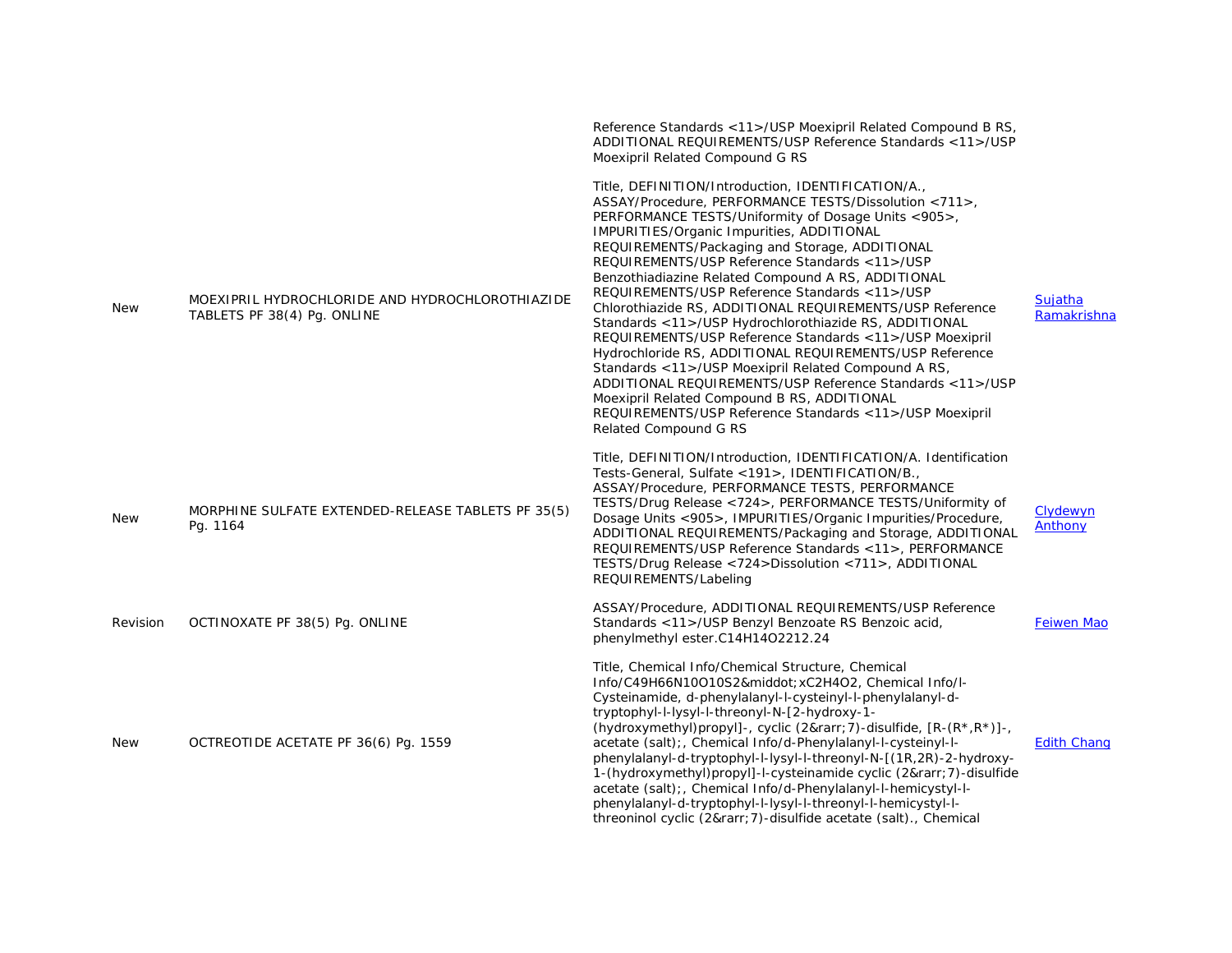|            |                                                                                | Reference Standards <11>/USP Moexipril Related Compound B RS,<br>ADDITIONAL REQUIREMENTS/USP Reference Standards <11>/USP<br>Moexipril Related Compound G RS                                                                                                                                                                                                                                                                                                                                                                                                                                                                                                                                                                                                                                                                                                                                                               |                               |
|------------|--------------------------------------------------------------------------------|----------------------------------------------------------------------------------------------------------------------------------------------------------------------------------------------------------------------------------------------------------------------------------------------------------------------------------------------------------------------------------------------------------------------------------------------------------------------------------------------------------------------------------------------------------------------------------------------------------------------------------------------------------------------------------------------------------------------------------------------------------------------------------------------------------------------------------------------------------------------------------------------------------------------------|-------------------------------|
| <b>New</b> | MOEXIPRIL HYDROCHLORIDE AND HYDROCHLOROTHIAZIDE<br>TABLETS PF 38(4) Pg. ONLINE | Title, DEFINITION/Introduction, IDENTIFICATION/A.,<br>ASSAY/Procedure, PERFORMANCE TESTS/Dissolution <711>,<br>PERFORMANCE TESTS/Uniformity of Dosage Units <905>,<br>IMPURITIES/Organic Impurities, ADDITIONAL<br>REQUIREMENTS/Packaging and Storage, ADDITIONAL<br>REQUIREMENTS/USP Reference Standards <11>/USP<br>Benzothiadiazine Related Compound A RS, ADDITIONAL<br>REQUIREMENTS/USP Reference Standards <11>/USP<br>Chlorothiazide RS, ADDITIONAL REQUIREMENTS/USP Reference<br>Standards <11>/USP Hydrochlorothiazide RS, ADDITIONAL<br>REQUIREMENTS/USP Reference Standards <11>/USP Moexipril<br>Hydrochloride RS, ADDITIONAL REQUIREMENTS/USP Reference<br>Standards <11>/USP Moexipril Related Compound A RS,<br>ADDITIONAL REQUIREMENTS/USP Reference Standards <11>/USP<br>Moexipril Related Compound B RS, ADDITIONAL<br>REQUIREMENTS/USP Reference Standards <11>/USP Moexipril<br>Related Compound G RS | <b>Suiatha</b><br>Ramakrishna |
| <b>New</b> | MORPHINE SULFATE EXTENDED-RELEASE TABLETS PF 35(5)<br>Pg. 1164                 | Title, DEFINITION/Introduction, IDENTIFICATION/A. Identification<br>Tests-General, Sulfate <191>, IDENTIFICATION/B.,<br>ASSAY/Procedure, PERFORMANCE TESTS, PERFORMANCE<br>TESTS/Drug Release <724>, PERFORMANCE TESTS/Uniformity of<br>Dosage Units <905>, IMPURITIES/Organic Impurities/Procedure,<br>ADDITIONAL REQUIREMENTS/Packaging and Storage, ADDITIONAL<br>REQUIREMENTS/USP Reference Standards <11>, PERFORMANCE<br>TESTS/Drug Release <724>Dissolution <711>, ADDITIONAL<br>REQUIREMENTS/Labeling                                                                                                                                                                                                                                                                                                                                                                                                              | Clydewyn<br>Anthony           |
| Revision   | OCTINOXATE PF 38(5) Pg. ONLINE                                                 | ASSAY/Procedure, ADDITIONAL REQUIREMENTS/USP Reference<br>Standards <11>/USP Benzyl Benzoate RS Benzoic acid,<br>phenylmethyl ester.C14H14O2212.24                                                                                                                                                                                                                                                                                                                                                                                                                                                                                                                                                                                                                                                                                                                                                                         | Feiwen Mao                    |
| <b>New</b> | OCTREOTIDE ACETATE PF 36(6) Pq. 1559                                           | Title, Chemical Info/Chemical Structure, Chemical<br>Info/C49H66N10O10S2·xC2H4O2, Chemical Info/l-<br>Cysteinamide, d-phenylalanyl-l-cysteinyl-l-phenylalanyl-d-<br>tryptophyl-l-lysyl-l-threonyl-N-[2-hydroxy-1-<br>(hydroxymethyl)propyl]-, cyclic (2→ 7)-disulfide, [R-(R*,R*)]-,<br>acetate (salt); Chemical Info/d-Phenylalanyl-l-cysteinyl-l-<br>phenylalanyl-d-tryptophyl-l-lysyl-l-threonyl-N-[(1R,2R)-2-hydroxy-<br>1-(hydroxymethyl)propyl]-l-cysteinamide cyclic (2→ 7)-disulfide<br>acetate (salt); Chemical Info/d-Phenylalanyl-l-hemicystyl-l-<br>phenylalanyl-d-tryptophyl-l-lysyl-l-threonyl-l-hemicystyl-l-<br>threoninol cyclic (2→ 7)-disulfide acetate (salt)., Chemical                                                                                                                                                                                                                               | <b>Edith Chang</b>            |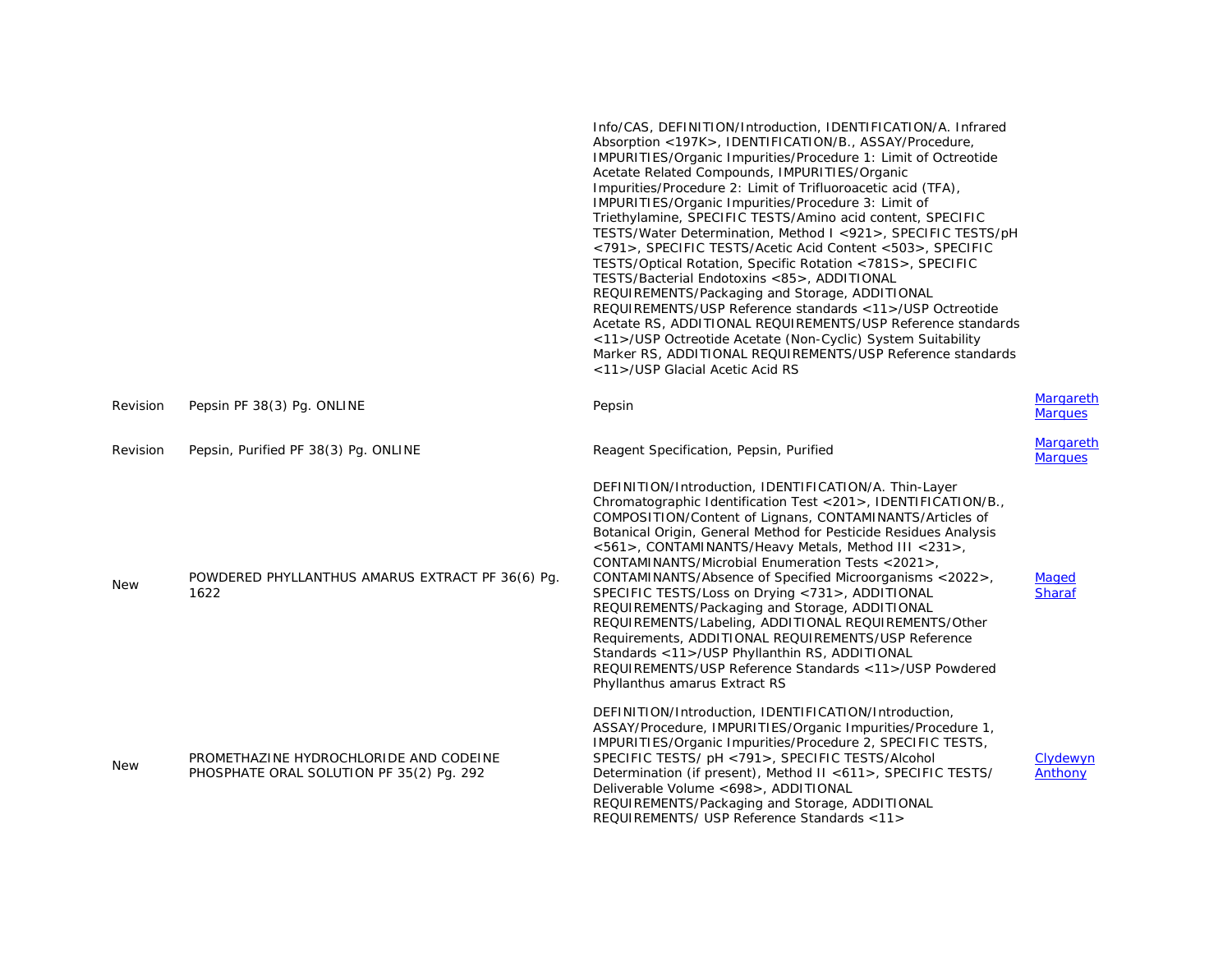|            |                                                                                    | Info/CAS, DEFINITION/Introduction, IDENTIFICATION/A. Infrared<br>Absorption <197K>, IDENTIFICATION/B., ASSAY/Procedure,<br>IMPURITIES/Organic Impurities/Procedure 1: Limit of Octreotide<br>Acetate Related Compounds, IMPURITIES/Organic<br>Impurities/Procedure 2: Limit of Trifluoroacetic acid (TFA),<br>IMPURITIES/Organic Impurities/Procedure 3: Limit of<br>Triethylamine, SPECIFIC TESTS/Amino acid content, SPECIFIC<br>TESTS/Water Determination, Method I <921>, SPECIFIC TESTS/pH<br><791>, SPECIFIC TESTS/Acetic Acid Content <503>, SPECIFIC<br>TESTS/Optical Rotation, Specific Rotation <781S>, SPECIFIC<br>TESTS/Bacterial Endotoxins <85>, ADDITIONAL<br>REQUIREMENTS/Packaging and Storage, ADDITIONAL<br>REQUIREMENTS/USP Reference standards <11>/USP Octreotide<br>Acetate RS, ADDITIONAL REQUIREMENTS/USP Reference standards<br><11>/USP Octreotide Acetate (Non-Cyclic) System Suitability<br>Marker RS, ADDITIONAL REQUIREMENTS/USP Reference standards<br><11>/USP Glacial Acetic Acid RS |                             |
|------------|------------------------------------------------------------------------------------|------------------------------------------------------------------------------------------------------------------------------------------------------------------------------------------------------------------------------------------------------------------------------------------------------------------------------------------------------------------------------------------------------------------------------------------------------------------------------------------------------------------------------------------------------------------------------------------------------------------------------------------------------------------------------------------------------------------------------------------------------------------------------------------------------------------------------------------------------------------------------------------------------------------------------------------------------------------------------------------------------------------------|-----------------------------|
| Revision   | Pepsin PF 38(3) Pg. ONLINE                                                         | Pepsin                                                                                                                                                                                                                                                                                                                                                                                                                                                                                                                                                                                                                                                                                                                                                                                                                                                                                                                                                                                                                 | Margareth<br><b>Marques</b> |
| Revision   | Pepsin, Purified PF 38(3) Pg. ONLINE                                               | Reagent Specification, Pepsin, Purified                                                                                                                                                                                                                                                                                                                                                                                                                                                                                                                                                                                                                                                                                                                                                                                                                                                                                                                                                                                | Margareth<br><b>Marques</b> |
| <b>New</b> | POWDERED PHYLLANTHUS AMARUS EXTRACT PF 36(6) Pq.<br>1622                           | DEFINITION/Introduction, IDENTIFICATION/A. Thin-Layer<br>Chromatographic Identification Test <201>, IDENTIFICATION/B.,<br>COMPOSITION/Content of Lignans, CONTAMINANTS/Articles of<br>Botanical Origin, General Method for Pesticide Residues Analysis<br><561>, CONTAMINANTS/Heavy Metals, Method III <231>,<br>CONTAMINANTS/Microbial Enumeration Tests <2021>,<br>CONTAMINANTS/Absence of Specified Microorganisms <2022>,<br>SPECIFIC TESTS/Loss on Drying <731>, ADDITIONAL<br>REQUIREMENTS/Packaging and Storage, ADDITIONAL<br>REQUIREMENTS/Labeling, ADDITIONAL REQUIREMENTS/Other<br>Requirements, ADDITIONAL REQUIREMENTS/USP Reference<br>Standards <11>/USP Phyllanthin RS, ADDITIONAL<br>REQUIREMENTS/USP Reference Standards <11>/USP Powdered<br>Phyllanthus amarus Extract RS                                                                                                                                                                                                                          | Maged<br><b>Sharaf</b>      |
| <b>New</b> | PROMETHAZINE HYDROCHLORIDE AND CODEINE<br>PHOSPHATE ORAL SOLUTION PF 35(2) Pq. 292 | DEFINITION/Introduction, IDENTIFICATION/Introduction,<br>ASSAY/Procedure, IMPURITIES/Organic Impurities/Procedure 1,<br>IMPURITIES/Organic Impurities/Procedure 2, SPECIFIC TESTS,<br>SPECIFIC TESTS/ pH <791>, SPECIFIC TESTS/Alcohol<br>Determination (if present), Method II <611>, SPECIFIC TESTS/<br>Deliverable Volume <698>, ADDITIONAL<br>REQUIREMENTS/Packaging and Storage, ADDITIONAL<br>REQUIREMENTS/ USP Reference Standards <11>                                                                                                                                                                                                                                                                                                                                                                                                                                                                                                                                                                         | Clydewyn<br>Anthony         |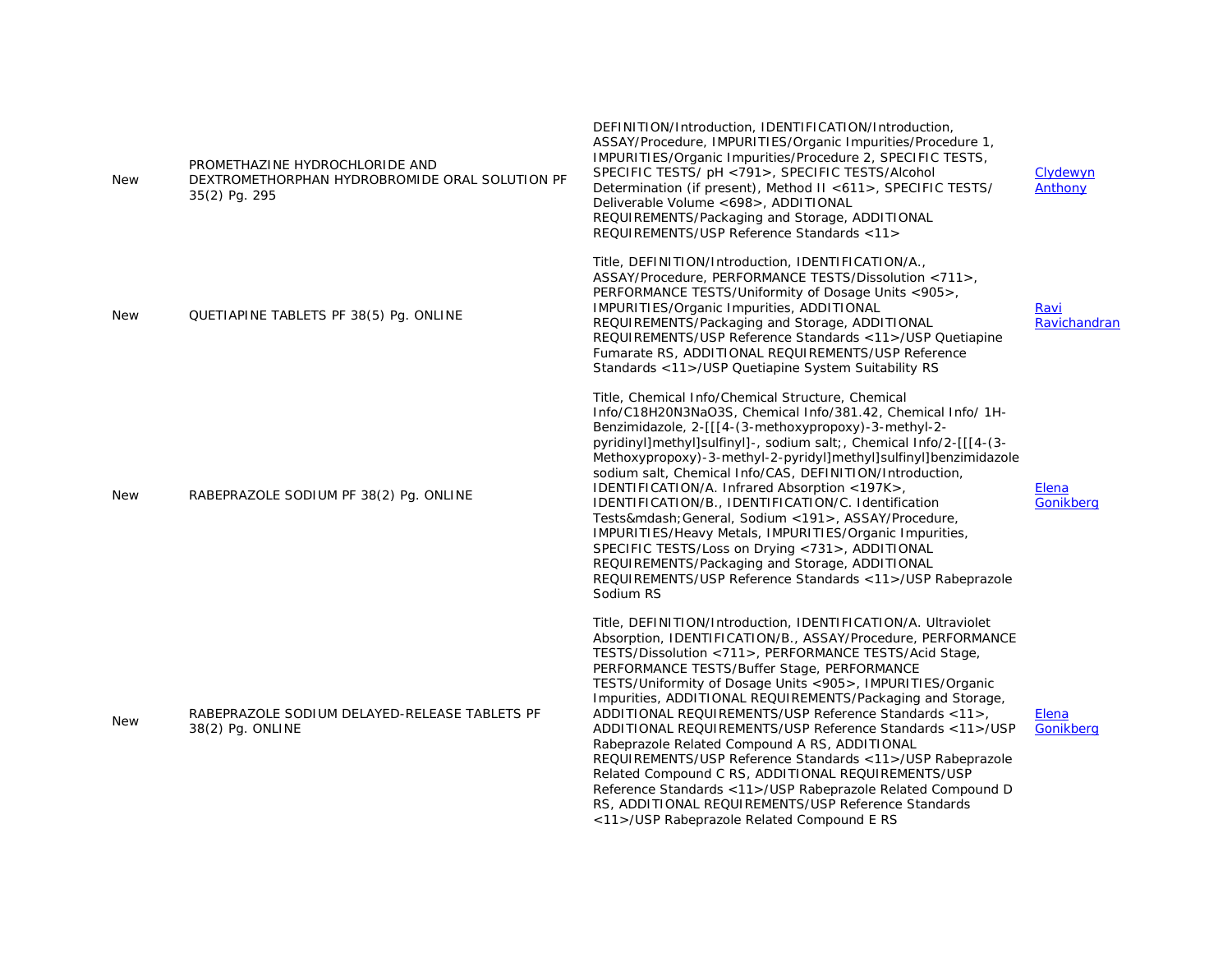| <b>New</b> | PROMETHAZINE HYDROCHLORIDE AND<br>DEXTROMETHORPHAN HYDROBROMIDE ORAL SOLUTION PF<br>35(2) Pg. 295 | DEFINITION/Introduction, IDENTIFICATION/Introduction,<br>ASSAY/Procedure, IMPURITIES/Organic Impurities/Procedure 1,<br>IMPURITIES/Organic Impurities/Procedure 2, SPECIFIC TESTS,<br>SPECIFIC TESTS/ pH <791>, SPECIFIC TESTS/Alcohol<br>Determination (if present), Method II <611>, SPECIFIC TESTS/<br>Deliverable Volume <698>, ADDITIONAL<br>REQUIREMENTS/Packaging and Storage, ADDITIONAL<br>REQUIREMENTS/USP Reference Standards <11>                                                                                                                                                                                                                                                                                                                                                                                    | Clydewyn<br>Anthony  |
|------------|---------------------------------------------------------------------------------------------------|----------------------------------------------------------------------------------------------------------------------------------------------------------------------------------------------------------------------------------------------------------------------------------------------------------------------------------------------------------------------------------------------------------------------------------------------------------------------------------------------------------------------------------------------------------------------------------------------------------------------------------------------------------------------------------------------------------------------------------------------------------------------------------------------------------------------------------|----------------------|
| <b>New</b> | QUETIAPINE TABLETS PF 38(5) Pg. ONLINE                                                            | Title, DEFINITION/Introduction, IDENTIFICATION/A.,<br>ASSAY/Procedure, PERFORMANCE TESTS/Dissolution <711>,<br>PERFORMANCE TESTS/Uniformity of Dosage Units <905>,<br>IMPURITIES/Organic Impurities, ADDITIONAL<br>REQUIREMENTS/Packaging and Storage, ADDITIONAL<br>REQUIREMENTS/USP Reference Standards <11>/USP Quetiapine<br>Fumarate RS, ADDITIONAL REQUIREMENTS/USP Reference<br>Standards <11>/USP Quetiapine System Suitability RS                                                                                                                                                                                                                                                                                                                                                                                       | Ravi<br>Ravichandran |
| New        | RABEPRAZOLE SODIUM PF 38(2) Pg. ONLINE                                                            | Title, Chemical Info/Chemical Structure, Chemical<br>Info/C18H20N3NaO3S, Chemical Info/381.42, Chemical Info/ 1H-<br>Benzimidazole, 2-[[[4-(3-methoxypropoxy)-3-methyl-2-<br>pyridinyl]methyl]sulfinyl]-, sodium salt;, Chemical Info/2-[[[4-(3-<br>Methoxypropoxy)-3-methyl-2-pyridyl]methyl]sulfinyl]benzimidazole<br>sodium salt, Chemical Info/CAS, DEFINITION/Introduction,<br>IDENTIFICATION/A. Infrared Absorption <197K>,<br>IDENTIFICATION/B., IDENTIFICATION/C. Identification<br>Tests— General, Sodium <191>, ASSAY/Procedure,<br>IMPURITIES/Heavy Metals, IMPURITIES/Organic Impurities,<br>SPECIFIC TESTS/Loss on Drying <731>, ADDITIONAL<br>REQUIREMENTS/Packaging and Storage, ADDITIONAL<br>REQUIREMENTS/USP Reference Standards <11>/USP Rabeprazole<br>Sodium RS                                             | Elena<br>Gonikberg   |
| <b>New</b> | RABEPRAZOLE SODIUM DELAYED-RELEASE TABLETS PF<br>38(2) Pg. ONLINE                                 | Title, DEFINITION/Introduction, IDENTIFICATION/A. Ultraviolet<br>Absorption, IDENTIFICATION/B., ASSAY/Procedure, PERFORMANCE<br>TESTS/Dissolution <711>, PERFORMANCE TESTS/Acid Stage,<br>PERFORMANCE TESTS/Buffer Stage, PERFORMANCE<br>TESTS/Uniformity of Dosage Units <905>, IMPURITIES/Organic<br>Impurities, ADDITIONAL REQUIREMENTS/Packaging and Storage,<br>ADDITIONAL REQUIREMENTS/USP Reference Standards <11>,<br>ADDITIONAL REQUIREMENTS/USP Reference Standards <11>/USP<br>Rabeprazole Related Compound A RS, ADDITIONAL<br>REQUIREMENTS/USP Reference Standards < 11 >/USP Rabeprazole<br>Related Compound C RS, ADDITIONAL REQUIREMENTS/USP<br>Reference Standards <11>/USP Rabeprazole Related Compound D<br>RS, ADDITIONAL REQUIREMENTS/USP Reference Standards<br><11>/USP Rabeprazole Related Compound E RS | Elena<br>Gonikberg   |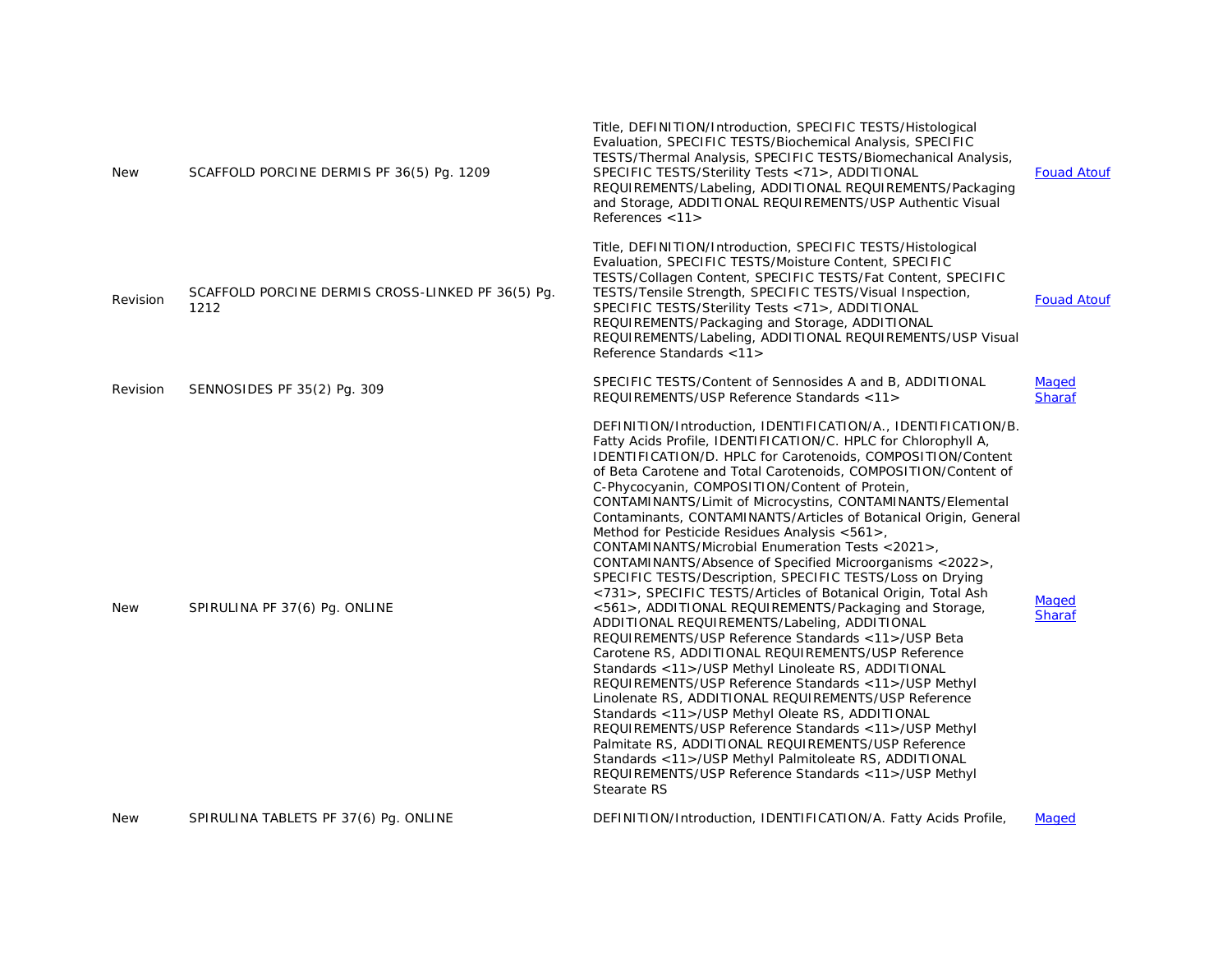| <b>New</b> | SCAFFOLD PORCINE DERMIS PF 36(5) Pq. 1209                 | Title, DEFINITION/Introduction, SPECIFIC TESTS/Histological<br>Evaluation, SPECIFIC TESTS/Biochemical Analysis, SPECIFIC<br>TESTS/Thermal Analysis, SPECIFIC TESTS/Biomechanical Analysis,<br>SPECIFIC TESTS/Sterility Tests <71>, ADDITIONAL<br>REQUIREMENTS/Labeling, ADDITIONAL REQUIREMENTS/Packaging<br>and Storage, ADDITIONAL REQUIREMENTS/USP Authentic Visual<br>References <11>                                                                                                                                                                                                                                                                                                                                                                                                                                                                                                                                                                                                                                                                                                                                                                                                                                                                                                                                                                                                                                                        | <b>Fouad Atouf</b>     |
|------------|-----------------------------------------------------------|--------------------------------------------------------------------------------------------------------------------------------------------------------------------------------------------------------------------------------------------------------------------------------------------------------------------------------------------------------------------------------------------------------------------------------------------------------------------------------------------------------------------------------------------------------------------------------------------------------------------------------------------------------------------------------------------------------------------------------------------------------------------------------------------------------------------------------------------------------------------------------------------------------------------------------------------------------------------------------------------------------------------------------------------------------------------------------------------------------------------------------------------------------------------------------------------------------------------------------------------------------------------------------------------------------------------------------------------------------------------------------------------------------------------------------------------------|------------------------|
| Revision   | SCAFFOLD PORCINE DERMIS CROSS-LINKED PF 36(5) Pq.<br>1212 | Title, DEFINITION/Introduction, SPECIFIC TESTS/Histological<br>Evaluation, SPECIFIC TESTS/Moisture Content, SPECIFIC<br>TESTS/Collagen Content, SPECIFIC TESTS/Fat Content, SPECIFIC<br>TESTS/Tensile Strength, SPECIFIC TESTS/Visual Inspection,<br>SPECIFIC TESTS/Sterility Tests <71>, ADDITIONAL<br>REQUIREMENTS/Packaging and Storage, ADDITIONAL<br>REQUIREMENTS/Labeling, ADDITIONAL REQUIREMENTS/USP Visual<br>Reference Standards <11>                                                                                                                                                                                                                                                                                                                                                                                                                                                                                                                                                                                                                                                                                                                                                                                                                                                                                                                                                                                                  | <b>Fouad Atouf</b>     |
| Revision   | SENNOSIDES PF 35(2) Pq. 309                               | SPECIFIC TESTS/Content of Sennosides A and B, ADDITIONAL<br>REQUIREMENTS/USP Reference Standards <11>                                                                                                                                                                                                                                                                                                                                                                                                                                                                                                                                                                                                                                                                                                                                                                                                                                                                                                                                                                                                                                                                                                                                                                                                                                                                                                                                            | Maged<br><b>Sharaf</b> |
| <b>New</b> | SPIRULINA PF 37(6) Pg. ONLINE                             | DEFINITION/Introduction, IDENTIFICATION/A., IDENTIFICATION/B.<br>Fatty Acids Profile, IDENTIFICATION/C. HPLC for Chlorophyll A,<br>IDENTIFICATION/D. HPLC for Carotenoids, COMPOSITION/Content<br>of Beta Carotene and Total Carotenoids, COMPOSITION/Content of<br>C-Phycocyanin, COMPOSITION/Content of Protein,<br>CONTAMINANTS/Limit of Microcystins, CONTAMINANTS/Elemental<br>Contaminants, CONTAMINANTS/Articles of Botanical Origin, General<br>Method for Pesticide Residues Analysis <561>,<br>CONTAMINANTS/Microbial Enumeration Tests <2021>,<br>CONTAMINANTS/Absence of Specified Microorganisms <2022>,<br>SPECIFIC TESTS/Description, SPECIFIC TESTS/Loss on Drying<br><731>, SPECIFIC TESTS/Articles of Botanical Origin, Total Ash<br><561>, ADDITIONAL REQUIREMENTS/Packaging and Storage,<br>ADDITIONAL REQUIREMENTS/Labeling, ADDITIONAL<br>REQUIREMENTS/USP Reference Standards <11>/USP Beta<br>Carotene RS, ADDITIONAL REQUIREMENTS/USP Reference<br>Standards <11>/USP Methyl Linoleate RS, ADDITIONAL<br>REQUIREMENTS/USP Reference Standards <11>/USP Methyl<br>Linolenate RS, ADDITIONAL REQUIREMENTS/USP Reference<br>Standards <11>/USP Methyl Oleate RS, ADDITIONAL<br>REQUIREMENTS/USP Reference Standards <11>/USP Methyl<br>Palmitate RS, ADDITIONAL REQUIREMENTS/USP Reference<br>Standards <11>/USP Methyl Palmitoleate RS, ADDITIONAL<br>REQUIREMENTS/USP Reference Standards <11>/USP Methyl<br>Stearate RS | Maged<br><b>Sharaf</b> |
| <b>New</b> | SPIRULINA TABLETS PF 37(6) Pq. ONLINE                     | DEFINITION/Introduction, IDENTIFICATION/A. Fatty Acids Profile,                                                                                                                                                                                                                                                                                                                                                                                                                                                                                                                                                                                                                                                                                                                                                                                                                                                                                                                                                                                                                                                                                                                                                                                                                                                                                                                                                                                  | Maged                  |